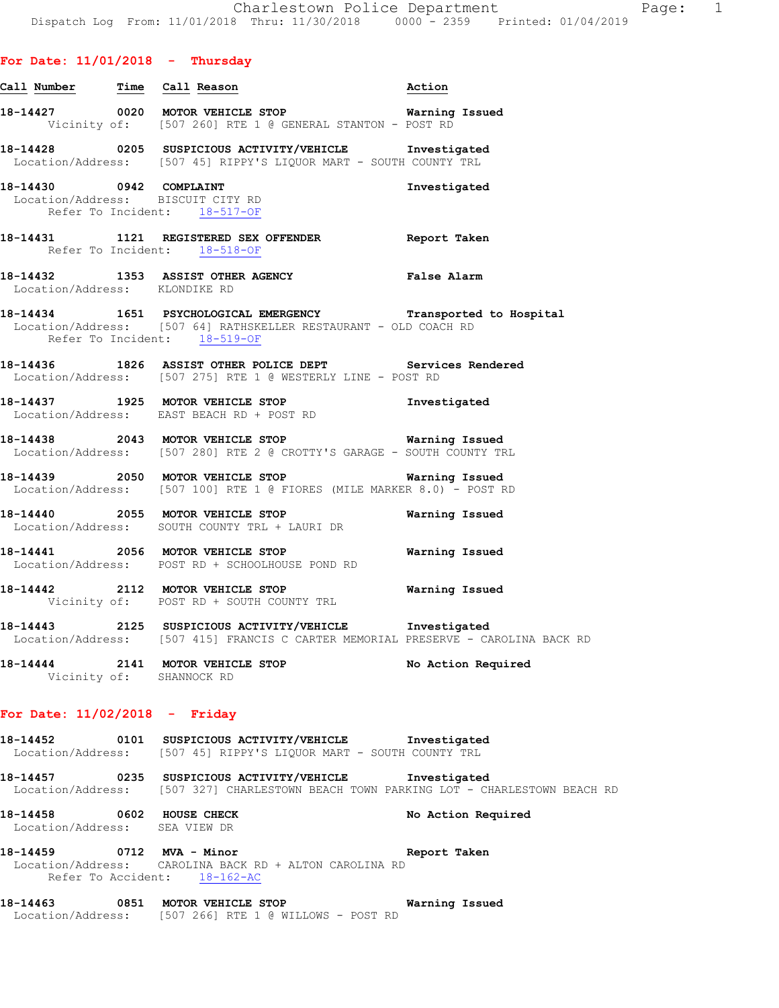|                                                              |                              | Vicinity of: [507 260] RTE 1 @ GENERAL STANTON - POST RD                                                                    |                                                               |
|--------------------------------------------------------------|------------------------------|-----------------------------------------------------------------------------------------------------------------------------|---------------------------------------------------------------|
|                                                              |                              | 18-14428 0205 SUSPICIOUS ACTIVITY/VEHICLE Investigated<br>Location/Address: [507 45] RIPPY'S LIQUOR MART - SOUTH COUNTY TRL |                                                               |
| 18-14430 0942 COMPLAINT<br>Location/Address: BISCUIT CITY RD | Refer To Incident: 18-517-OF |                                                                                                                             | Investigated                                                  |
|                                                              | Refer To Incident: 18-518-OF |                                                                                                                             | Report Taken                                                  |
| Location/Address: KLONDIKE RD                                |                              | 18-14432 1353 ASSIST OTHER AGENCY Talse Alarm                                                                               |                                                               |
|                                                              | Refer To Incident: 18-519-OF | Location/Address: [507 64] RATHSKELLER RESTAURANT - OLD COACH RD                                                            | 18-14434 1651 PSYCHOLOGICAL EMERGENCY Transported to Hospital |
|                                                              |                              | 18-14436  1826 ASSIST OTHER POLICE DEPT                                                                                     | Services Rendered                                             |

Location/Address: [507 275] RTE 1 @ WESTERLY LINE - POST RD

**18-14437 1925 MOTOR VEHICLE STOP Investigated**  Location/Address: EAST BEACH RD + POST RD

**Call Number Time Call Reason Action** 

**18-14438 2043 MOTOR VEHICLE STOP Warning Issued**  Location/Address: [507 280] RTE 2 @ CROTTY'S GARAGE - SOUTH COUNTY TRL

**18-14439 2050 MOTOR VEHICLE STOP Warning Issued**  Location/Address: [507 100] RTE 1 @ FIORES (MILE MARKER 8.0) - POST RD

**18-14440 2055 MOTOR VEHICLE STOP Warning Issued**  Location/Address: SOUTH COUNTY TRL + LAURI DR

**18-14441 2056 MOTOR VEHICLE STOP Warning Issued**  Location/Address: POST RD + SCHOOLHOUSE POND RD

**18-14442 2112 MOTOR VEHICLE STOP Warning Issued**  Vicinity of: POST RD + SOUTH COUNTY TRL

**18-14443 2125 SUSPICIOUS ACTIVITY/VEHICLE Investigated**  Location/Address: [507 415] FRANCIS C CARTER MEMORIAL PRESERVE - CAROLINA BACK RD

**18-14444 2141 MOTOR VEHICLE STOP No Action Required**  Vicinity of: SHANNOCK RD

#### **For Date: 11/02/2018 - Friday**

**18-14452 0101 SUSPICIOUS ACTIVITY/VEHICLE Investigated**  Location/Address: [507 45] RIPPY'S LIQUOR MART - SOUTH COUNTY TRL

**18-14457 0235 SUSPICIOUS ACTIVITY/VEHICLE Investigated**  Location/Address: [507 327] CHARLESTOWN BEACH TOWN PARKING LOT - CHARLESTOWN BEACH RD

**18-14458 0602 HOUSE CHECK No Action Required**  Location/Address: SEA VIEW DR

**18-14459 0712 MVA - Minor Report Taken**  Location/Address: CAROLINA BACK RD + ALTON CAROLINA RD Refer To Accident:  $18-162-AC$ 

**18-14463 0851 MOTOR VEHICLE STOP Warning Issued**  Location/Address: [507 266] RTE 1 @ WILLOWS - POST RD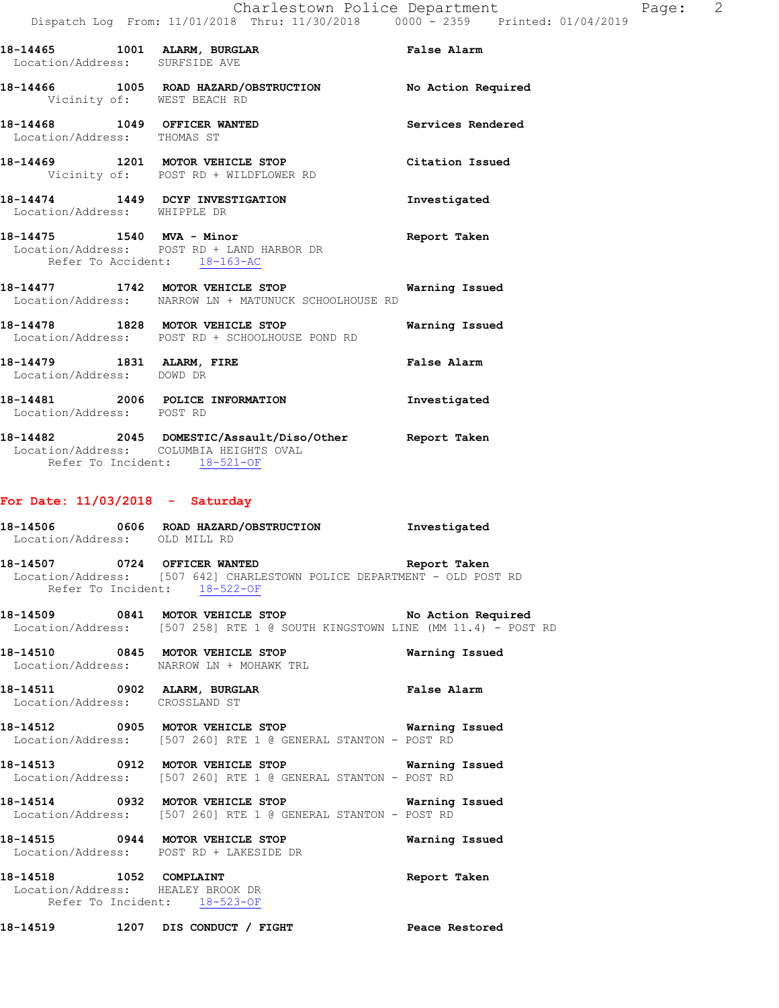| 18-14465<br>Location/Address: SURFSIDE AVE   |      | 1001 ALARM, BURGLAR                                             | False Alarm        |
|----------------------------------------------|------|-----------------------------------------------------------------|--------------------|
| 18-14466                                     | 1005 | ROAD HAZARD/OBSTRUCTION<br>Vicinity of: WEST BEACH RD           | No Action Required |
| 18-14468 1049<br>Location/Address: THOMAS ST |      | OFFICER WANTED                                                  | Services Rendered  |
| 18-14469                                     |      | 1201 MOTOR VEHICLE STOP<br>Vicinity of: POST RD + WILDFLOWER RD | Citation Issued    |
| Location/Address:                            |      | 18-14474 1449 DCYF INVESTIGATION<br>WHIPPLE DR                  | Investigated       |

**18-14475 1540 MVA - Minor Report Taken**  Location/Address: POST RD + LAND HARBOR DR Refer To Accident: 18-163-AC

- **18-14477 1742 MOTOR VEHICLE STOP Warning Issued**  Location/Address: NARROW LN + MATUNUCK SCHOOLHOUSE RD
- **18-14478 1828 MOTOR VEHICLE STOP Warning Issued**  Location/Address: POST RD + SCHOOLHOUSE POND RD **18-14479 1831 ALARM, FIRE False Alarm**
- Location/Address: DOWD DR **18-14481 2006 POLICE INFORMATION Investigated**  Location/Address: POST RD
- **18-14482 2045 DOMESTIC/Assault/Diso/Other Report Taken**  Location/Address: COLUMBIA HEIGHTS OVAL Refer To Incident: 18-521-OF

## **For Date: 11/03/2018 - Saturday**

- **18-14506 0606 ROAD HAZARD/OBSTRUCTION Investigated**  Location/Address: OLD MILL RD
- **18-14507 0724 OFFICER WANTED Report Taken**  Location/Address: [507 642] CHARLESTOWN POLICE DEPARTMENT - OLD POST RD Refer To Incident: 18-522-OF
- **18-14509 0841 MOTOR VEHICLE STOP No Action Required**  Location/Address: [507 258] RTE 1 @ SOUTH KINGSTOWN LINE (MM 11.4) - POST RD
- **18-14510 0845 MOTOR VEHICLE STOP Warning Issued**  Location/Address: NARROW LN + MOHAWK TRL
- **18-14511 0902 ALARM, BURGLAR False Alarm**  Location/Address: CROSSLAND ST
- **18-14512 0905 MOTOR VEHICLE STOP Warning Issued**  Location/Address: [507 260] RTE 1 @ GENERAL STANTON - POST RD
- **18-14513 0912 MOTOR VEHICLE STOP Warning Issued**  Location/Address: [507 260] RTE 1 @ GENERAL STANTON - POST RD
- **18-14514 0932 MOTOR VEHICLE STOP Warning Issued**  Location/Address: [507 260] RTE 1 @ GENERAL STANTON - POST RD
- **18-14515 0944 MOTOR VEHICLE STOP Warning Issued**  Location/Address: POST RD + LAKESIDE DR
- **18-14518 1052 COMPLAINT Report Taken**  Location/Address: HEALEY BROOK DR Refer To Incident: 18-523-OF
- **18-14519 1207 DIS CONDUCT / FIGHT Peace Restored**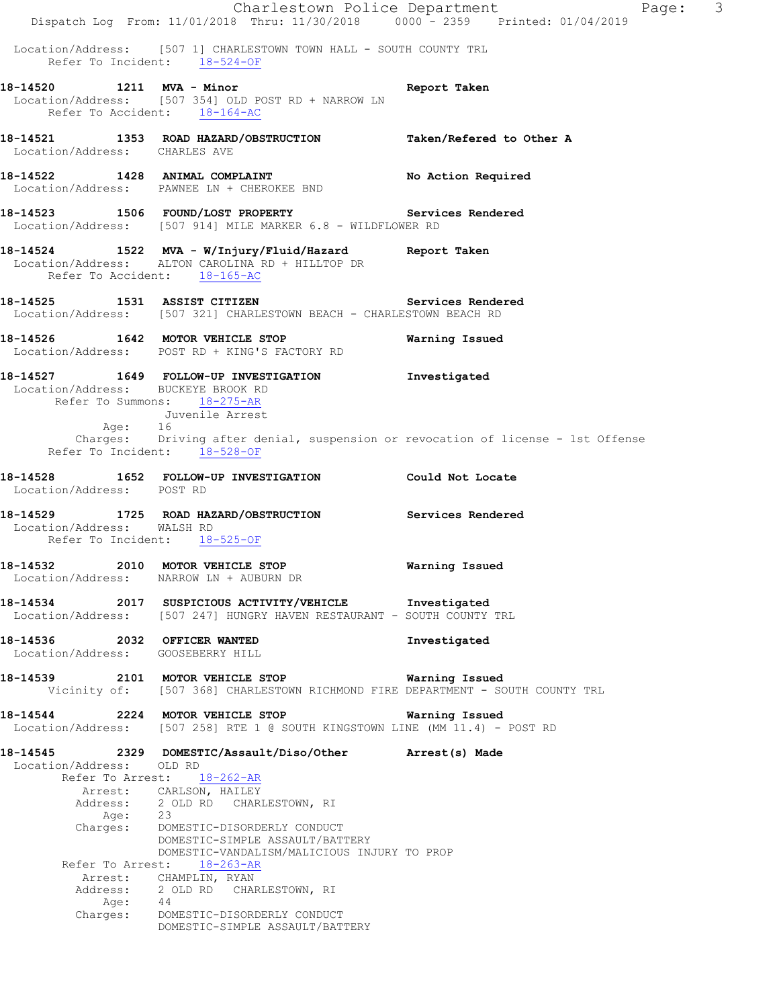Charlestown Police Department Page: 3 Dispatch Log From: 11/01/2018 Thru: 11/30/2018 0000 - 2359 Printed: 01/04/2019 Location/Address: [507 1] CHARLESTOWN TOWN HALL - SOUTH COUNTY TRL Refer To Incident:  $\frac{18-524-OF}{18-524}$ **18-14520 1211 MVA - Minor Report Taken**  Location/Address: [507 354] OLD POST RD + NARROW LN Refer To Accident: 18-164-AC **18-14521 1353 ROAD HAZARD/OBSTRUCTION Taken/Refered to Other A**  Location/Address: CHARLES AVE 18-14522 1428 ANIMAL COMPLAINT **No Action Required**  Location/Address: PAWNEE LN + CHEROKEE BND **18-14523 1506 FOUND/LOST PROPERTY Services Rendered**  Location/Address: [507 914] MILE MARKER 6.8 - WILDFLOWER RD **18-14524 1522 MVA - W/Injury/Fluid/Hazard Report Taken**  Location/Address: ALTON CAROLINA RD + HILLTOP DR Refer To Accident: 18-165-AC **18-14525 1531 ASSIST CITIZEN Services Rendered**  Location/Address: [507 321] CHARLESTOWN BEACH - CHARLESTOWN BEACH RD **18-14526 1642 MOTOR VEHICLE STOP Warning Issued**  Location/Address: POST RD + KING'S FACTORY RD **18-14527 1649 FOLLOW-UP INVESTIGATION Investigated**  Location/Address: BUCKEYE BROOK RD Refer To Summons: 18-275-AR Juvenile Arrest Age: 16 Charges: Driving after denial, suspension or revocation of license - 1st Offense Refer To Incident: 18-528-OF **18-14528 1652 FOLLOW-UP INVESTIGATION Could Not Locate**  Location/Address: POST RD **18-14529 1725 ROAD HAZARD/OBSTRUCTION Services Rendered**  Location/Address: WALSH RD Refer To Incident: 18-525-OF **18-14532 2010 MOTOR VEHICLE STOP Warning Issued**  Location/Address: NARROW LN + AUBURN DR **18-14534 2017 SUSPICIOUS ACTIVITY/VEHICLE Investigated**  Location/Address: [507 247] HUNGRY HAVEN RESTAURANT - SOUTH COUNTY TRL **18-14536 2032 OFFICER WANTED Investigated**  Location/Address: GOOSEBERRY HILL **18-14539 2101 MOTOR VEHICLE STOP Warning Issued**  Vicinity of: [507 368] CHARLESTOWN RICHMOND FIRE DEPARTMENT - SOUTH COUNTY TRL **18-14544 2224 MOTOR VEHICLE STOP Warning Issued**  Location/Address: [507 258] RTE 1 @ SOUTH KINGSTOWN LINE (MM 11.4) - POST RD **18-14545 2329 DOMESTIC/Assault/Diso/Other Arrest(s) Made**  Location/Address: OLD RD Refer To Arrest: 18-262-AR Arrest: CARLSON, HAILEY<br>Address: 2 OLD RD CHARI 2 OLD RD CHARLESTOWN, RI Age: 23 Charges: DOMESTIC-DISORDERLY CONDUCT DOMESTIC-SIMPLE ASSAULT/BATTERY DOMESTIC-VANDALISM/MALICIOUS INJURY TO PROP Refer To Arrest: 18-263-AR Arrest: CHAMPLIN, RYAN Address: 2 OLD RD CHARLESTOWN, RI Age: 44 Charges: DOMESTIC-DISORDERLY CONDUCT DOMESTIC-SIMPLE ASSAULT/BATTERY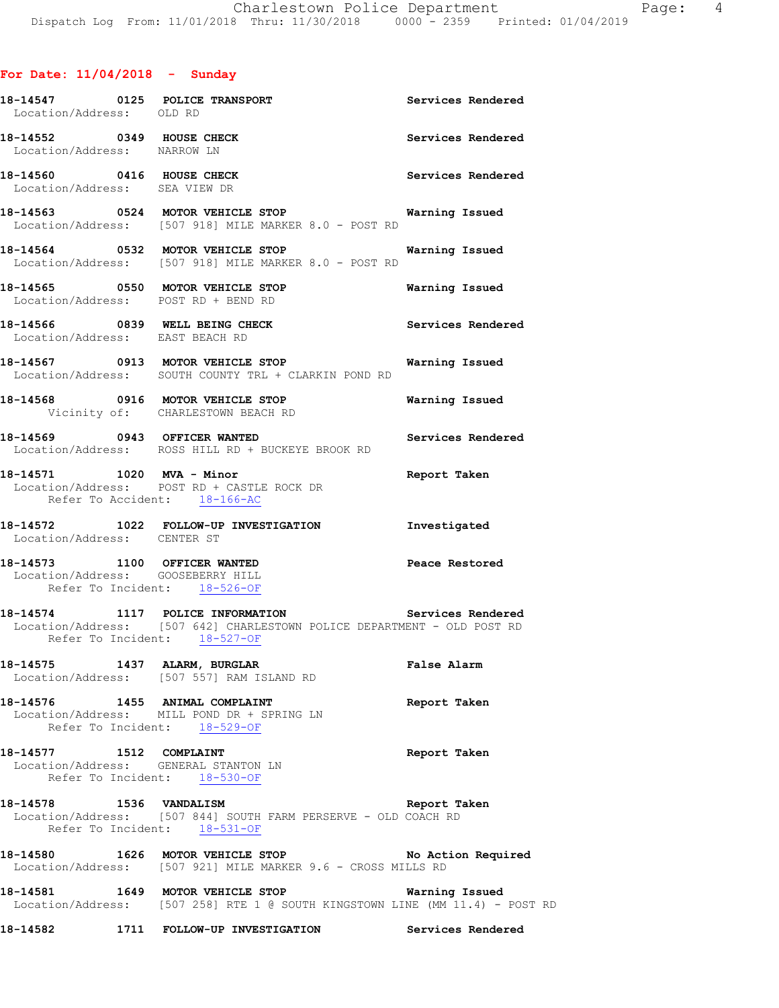# **For Date: 11/04/2018 - Sunday**

| Location/Address: OLD RD      | 18-14547 0125 POLICE TRANSPORT                                                                                                                                | Services Rendered     |
|-------------------------------|---------------------------------------------------------------------------------------------------------------------------------------------------------------|-----------------------|
| Location/Address: NARROW LN   | 18-14552 0349 HOUSE CHECK                                                                                                                                     | Services Rendered     |
| Location/Address: SEA VIEW DR | 18-14560 0416 HOUSE CHECK                                                                                                                                     | Services Rendered     |
|                               | 18-14563 0524 MOTOR VEHICLE STOP Warning Issued<br>Location/Address: [507 918] MILE MARKER 8.0 - POST RD                                                      |                       |
|                               | 18-14564 0532 MOTOR VEHICLE STOP<br>Location/Address: [507 918] MILE MARKER 8.0 - POST RD                                                                     | Warning Issued        |
|                               | 18-14565 0550 MOTOR VEHICLE STOP<br>Location/Address: POST RD + BEND RD                                                                                       | <b>Warning Issued</b> |
|                               | 18-14566 0839 WELL BEING CHECK Services Rendered<br>Location/Address: EAST BEACH RD                                                                           |                       |
|                               | 18-14567 0913 MOTOR VEHICLE STOP 6 Warning Issued<br>Location/Address: SOUTH COUNTY TRL + CLARKIN POND RD                                                     |                       |
|                               | 18-14568 0916 MOTOR VEHICLE STOP 6 Warning Issued<br>Vicinity of: CHARLESTOWN BEACH RD                                                                        |                       |
|                               | 18-14569 0943 OFFICER WANTED<br>Location/Address: ROSS HILL RD + BUCKEYE BROOK RD                                                                             | Services Rendered     |
|                               | 18-14571 1020 MVA - Minor<br>Location/Address: POST RD + CASTLE ROCK DR<br>Refer To Accident: 18-166-AC                                                       | Report Taken          |
|                               | 18-14572 1022 FOLLOW-UP INVESTIGATION Investigated                                                                                                            |                       |
| Location/Address: CENTER ST   |                                                                                                                                                               |                       |
|                               | 18-14573 1100 OFFICER WANTED<br>Location/Address: GOOSEBERRY HILL<br>Refer To Incident: 18-526-OF                                                             | Peace Restored        |
|                               | 18-14574 1117 POLICE INFORMATION Services Rendered<br>Location/Address: [507 642] CHARLESTOWN POLICE DEPARTMENT - OLD POST RD<br>Refer To Incident: 18-527-OF |                       |
| 18-14575 1437 ALARM, BURGLAR  | Location/Address: [507 557] RAM ISLAND RD                                                                                                                     | False Alarm           |
|                               | 18-14576 1455 ANIMAL COMPLAINT<br>Location/Address: MILL POND DR + SPRING LN<br>Refer To Incident: 18-529-OF                                                  | Report Taken          |
| 18-14577 1512 COMPLAINT       | Location/Address: GENERAL STANTON LN<br>Refer To Incident: 18-530-OF                                                                                          | Report Taken          |
|                               | 18-14578 1536 VANDALISM<br>Location/Address: [507 844] SOUTH FARM PERSERVE - OLD COACH RD<br>Refer To Incident: 18-531-OF                                     | Report Taken          |
|                               | 18-14580 1626 MOTOR VEHICLE STOP No Action Required<br>Location/Address: [507 921] MILE MARKER 9.6 - CROSS MILLS RD                                           |                       |
|                               | 18-14581 1649 MOTOR VEHICLE STOP Warning Issued<br>Location/Address: [507 258] RTE 1 @ SOUTH KINGSTOWN LINE (MM 11.4) - POST RD                               |                       |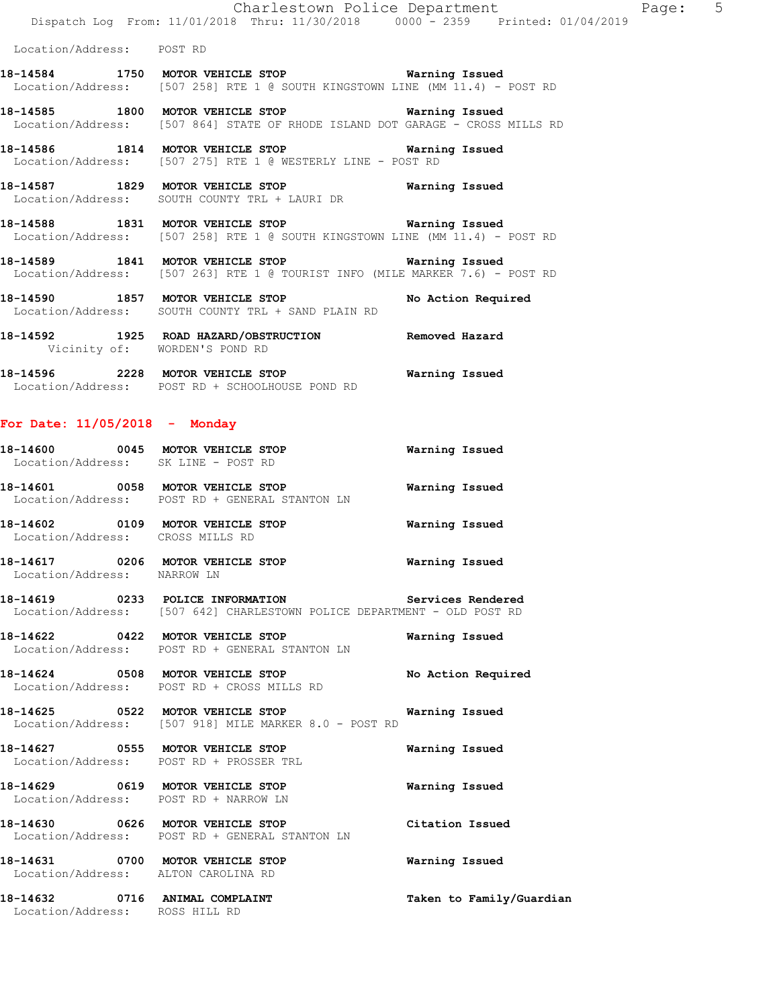**18-14585 1800 MOTOR VEHICLE STOP Warning Issued**  Location/Address: [507 864] STATE OF RHODE ISLAND DOT GARAGE - CROSS MILLS RD

**18-14586 1814 MOTOR VEHICLE STOP Warning Issued**  Location/Address: [507 275] RTE 1 @ WESTERLY LINE - POST RD

**18-14587 1829 MOTOR VEHICLE STOP Warning Issued**  Location/Address: SOUTH COUNTY TRL + LAURI DR

**18-14588 1831 MOTOR VEHICLE STOP Warning Issued**  Location/Address: [507 258] RTE 1 @ SOUTH KINGSTOWN LINE (MM 11.4) - POST RD

**18-14589 1841 MOTOR VEHICLE STOP Warning Issued**  Location/Address: [507 263] RTE 1 @ TOURIST INFO (MILE MARKER 7.6) - POST RD

18-14590 1857 MOTOR VEHICLE STOP **No Action Required** Location/Address: SOUTH COUNTY TRL + SAND PLAIN RD

**18-14592 1925 ROAD HAZARD/OBSTRUCTION Removed Hazard**  Vicinity of: WORDEN'S POND RD **18-14596 2228 MOTOR VEHICLE STOP Warning Issued** 

Location/Address: POST RD + SCHOOLHOUSE POND RD

## **For Date: 11/05/2018 - Monday**

| Location/Address: SK LINE - POST RD                                       | 18-14600 0045 MOTOR VEHICLE STOP                                                                                                    | Warning Issued     |
|---------------------------------------------------------------------------|-------------------------------------------------------------------------------------------------------------------------------------|--------------------|
|                                                                           | Location/Address: POST RD + GENERAL STANTON LN                                                                                      |                    |
| Location/Address: CROSS MILLS RD                                          |                                                                                                                                     |                    |
| Location/Address: NARROW LN                                               | 18-14617 6206 MOTOR VEHICLE STOP 6 Warning Issued                                                                                   |                    |
|                                                                           | 18-14619 		 0233 POLICE INFORMATION 		 Services Rendered<br>Location/Address: [507 642] CHARLESTOWN POLICE DEPARTMENT - OLD POST RD |                    |
|                                                                           | Location/Address: POST RD + GENERAL STANTON LN                                                                                      |                    |
|                                                                           | 18-14624 0508 MOTOR VEHICLE STOP<br>Location/Address: POST RD + CROSS MILLS RD                                                      | No Action Required |
|                                                                           | Location/Address: [507 918] MILE MARKER 8.0 - POST RD                                                                               |                    |
|                                                                           | 18-14627 0555 MOTOR VEHICLE STOP<br>Location/Address: POST RD + PROSSER TRL                                                         | Warning Issued     |
| 18-14629 0619 MOTOR VEHICLE STOP<br>Location/Address: POST RD + NARROW LN |                                                                                                                                     | Warning Issued     |

**18-14630 0626 MOTOR VEHICLE STOP Citation Issued**  Location/Address: POST RD + GENERAL STANTON LN

**18-14631 0700 MOTOR VEHICLE STOP Warning Issued**  Location/Address: ALTON CAROLINA RD

**18-14632 0716 ANIMAL COMPLAINT Taken to Family/Guardian**  Location/Address: ROSS HILL RD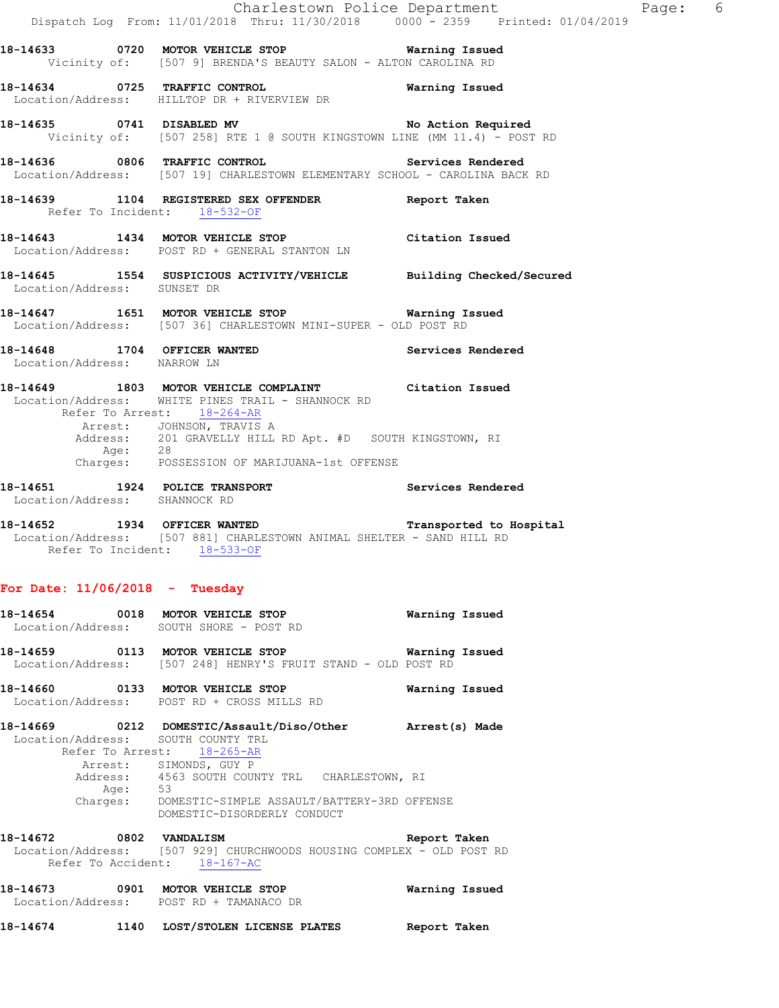|                                                             | Dispatch Log From: 11/01/2018 Thru: 11/30/2018 0000 - 2359 Printed: 01/04/2019                                                                                        | Charlestown Police Department | Page: 6 |
|-------------------------------------------------------------|-----------------------------------------------------------------------------------------------------------------------------------------------------------------------|-------------------------------|---------|
|                                                             | 18-14633 0720 MOTOR VEHICLE STOP 6 Warning Issued<br>Vicinity of: [507 9] BRENDA'S BEAUTY SALON - ALTON CAROLINA RD                                                   |                               |         |
|                                                             | 18-14634 0725 TRAFFIC CONTROL<br>Location/Address: HILLTOP DR + RIVERVIEW DR                                                                                          | Warning Issued                |         |
|                                                             | 18-14635 0741 DISABLED MV No Action Required<br>Vicinity of: [507 258] RTE 1 @ SOUTH KINGSTOWN LINE (MM 11.4) - POST RD                                               |                               |         |
|                                                             | 18-14636 0806 TRAFFIC CONTROL CONTROL Services Rendered<br>Location/Address: [507 19] CHARLESTOWN ELEMENTARY SCHOOL - CAROLINA BACK RD                                |                               |         |
| Refer To Incident: 18-532-OF                                | 18-14639 1104 REGISTERED SEX OFFENDER Report Taken                                                                                                                    |                               |         |
|                                                             | 18-14643 1434 MOTOR VEHICLE STOP Citation Issued<br>Location/Address: POST RD + GENERAL STANTON LN                                                                    |                               |         |
| Location/Address: SUNSET DR                                 | 18-14645 1554 SUSPICIOUS ACTIVITY/VEHICLE Building Checked/Secured                                                                                                    |                               |         |
|                                                             | 18-14647 1651 MOTOR VEHICLE STOP <b>Warning Issued</b><br>Location/Address: [507 36] CHARLESTOWN MINI-SUPER - OLD POST RD                                             |                               |         |
| 18-14648 1704 OFFICER WANTED<br>Location/Address: NARROW LN |                                                                                                                                                                       | Services Rendered             |         |
|                                                             | 18-14649 1803 MOTOR VEHICLE COMPLAINT Citation Issued<br>Location/Address: WHITE PINES TRAIL - SHANNOCK RD<br>Refer To Arrest: 18-264-AR<br>Arrest: JOHNSON, TRAVIS A |                               |         |
|                                                             | Address: 201 GRAVELLY HILL RD Apt. #D SOUTH KINGSTOWN, RI<br>Age: 28<br>Charges: POSSESSION OF MARIJUANA-1st OFFENSE                                                  |                               |         |
| Location/Address: SHANNOCK RD                               | 18-14651 1924 POLICE TRANSPORT                                                                                                                                        | Services Rendered             |         |
| Refer To Incident: 18-533-OF                                | 18-14652 1934 OFFICER WANTED Transported to Hospital<br>Location/Address: [507 881] CHARLESTOWN ANIMAL SHELTER - SAND HILL RD                                         |                               |         |
| For Date: $11/06/2018$ - Tuesday                            |                                                                                                                                                                       |                               |         |
| $18-14654$ 0018 MOTOR VEHICLE STOP<br>Location/Address:     | SOUTH SHORE - POST RD                                                                                                                                                 | Warning Issued                |         |
| 18-14659 0113 MOTOR VEHICLE STOP                            | Location/Address: [507 248] HENRY'S FRUIT STAND - OLD POST RD                                                                                                         | Warning Issued                |         |
| 18-14660 0133 MOTOR VEHICLE STOP                            | Location/Address: POST RD + CROSS MILLS RD                                                                                                                            | Warning Issued                |         |
| 18-14669                                                    | 0212 DOMESTIC/Assault/Diso/Other                                                                                                                                      | Arrest(s) Made                |         |

 Location/Address: SOUTH COUNTY TRL Refer To Arrest: 18-265-AR Arrest: SIMONDS, GUY P Address: 4563 SOUTH COUNTY TRL CHARLESTOWN, RI Age: 53 Charges: DOMESTIC-SIMPLE ASSAULT/BATTERY-3RD OFFENSE DOMESTIC-DISORDERLY CONDUCT

**18-14672 0802 VANDALISM Report Taken**  Location/Address: [507 929] CHURCHWOODS HOUSING COMPLEX - OLD POST RD Refer To Accident: 18-167-AC

**18-14673 0901 MOTOR VEHICLE STOP Warning Issued**  Location/Address: POST RD + TAMANACO DR

**18-14674 1140 LOST/STOLEN LICENSE PLATES Report Taken**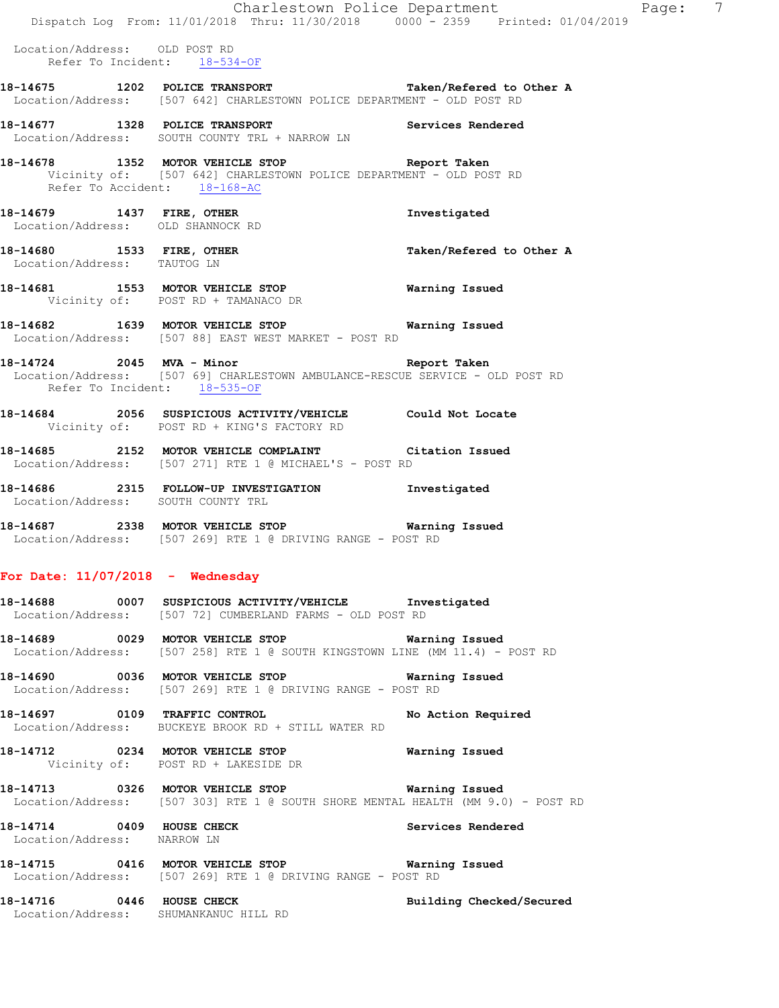|                                                                    | Dispatch Log From: 11/01/2018 Thru: 11/30/2018 0000 - 2359 Printed: 01/04/2019                                                      | Charlestown Police Department | Page: 7 |  |
|--------------------------------------------------------------------|-------------------------------------------------------------------------------------------------------------------------------------|-------------------------------|---------|--|
| Location/Address: OLD POST RD<br>Refer To Incident: 18-534-OF      |                                                                                                                                     |                               |         |  |
|                                                                    | 18-14675 1202 POLICE TRANSPORT Taken/Refered to Other A<br>Location/Address: [507 642] CHARLESTOWN POLICE DEPARTMENT - OLD POST RD  |                               |         |  |
|                                                                    | 18-14677 1328 POLICE TRANSPORT Services Rendered<br>Location/Address: SOUTH COUNTY TRL + NARROW LN                                  |                               |         |  |
| Refer To Accident: 18-168-AC                                       | 18-14678 1352 MOTOR VEHICLE STOP Report Taken<br>Vicinity of: [507 642] CHARLESTOWN POLICE DEPARTMENT - OLD POST RD                 |                               |         |  |
|                                                                    | 18-14679 1437 FIRE, OTHER<br>Location/Address: OLD SHANNOCK RD                                                                      | Investigated                  |         |  |
| Location/Address: TAUTOG LN                                        | 18-14680 1533 FIRE, OTHER                                                                                                           | Taken/Refered to Other A      |         |  |
|                                                                    | 18-14681 1553 MOTOR VEHICLE STOP Warning Issued<br>Vicinity of: POST RD + TAMANACO DR                                               |                               |         |  |
|                                                                    | 18-14682 1639 MOTOR VEHICLE STOP Warning Issued<br>Location/Address: [507 88] EAST WEST MARKET - POST RD                            |                               |         |  |
| Refer To Incident: 18-535-OF                                       | 18-14724 2045 MVA - Minor Number 2004 Seport Taken<br>Location/Address: [507 69] CHARLESTOWN AMBULANCE-RESCUE SERVICE - OLD POST RD |                               |         |  |
|                                                                    | 18-14684 2056 SUSPICIOUS ACTIVITY/VEHICLE Could Not Locate<br>Vicinity of: POST RD + KING'S FACTORY RD                              |                               |         |  |
|                                                                    | 18-14685 2152 MOTOR VEHICLE COMPLAINT Citation Issued<br>Location/Address: [507 271] RTE 1 @ MICHAEL'S - POST RD                    |                               |         |  |
|                                                                    | 18-14686 2315 FOLLOW-UP INVESTIGATION Investigated<br>Location/Address: SOUTH COUNTY TRL                                            |                               |         |  |
|                                                                    | 18-14687 2338 MOTOR VEHICLE STOP Warning Issued<br>Location/Address: [507 269] RTE 1 @ DRIVING RANGE - POST RD                      |                               |         |  |
| For Date: $11/07/2018$ - Wednesday                                 |                                                                                                                                     |                               |         |  |
|                                                                    | 18-14688 0007 SUSPICIOUS ACTIVITY/VEHICLE Investigated<br>Location/Address: [507 72] CUMBERLAND FARMS - OLD POST RD                 |                               |         |  |
|                                                                    | 18-14689 0029 MOTOR VEHICLE STOP 6 Warning Issued<br>Location/Address: [507 258] RTE 1 @ SOUTH KINGSTOWN LINE (MM 11.4) - POST RD   |                               |         |  |
|                                                                    | 18-14690 0036 MOTOR VEHICLE STOP 6 Warning Issued<br>Location/Address: [507 269] RTE 1 @ DRIVING RANGE - POST RD                    |                               |         |  |
|                                                                    | 18-14697 0109 TRAFFIC CONTROL No Action Required<br>Location/Address: BUCKEYE BROOK RD + STILL WATER RD                             |                               |         |  |
|                                                                    | 18-14712 0234 MOTOR VEHICLE STOP 6 Warning Issued<br>Vicinity of: POST RD + LAKESIDE DR                                             |                               |         |  |
|                                                                    | Location/Address: [507 303] RTE 1 @ SOUTH SHORE MENTAL HEALTH (MM 9.0) - POST RD                                                    |                               |         |  |
| 18-14714 0409 HOUSE CHECK<br>Location/Address: NARROW LN           |                                                                                                                                     | Services Rendered             |         |  |
|                                                                    | 18-14715 6416 MOTOR VEHICLE STOP 60 Warning Issued<br>Location/Address: [507 269] RTE 1 @ DRIVING RANGE - POST RD                   |                               |         |  |
| 18-14716 0446 HOUSE CHECK<br>Location/Address: SHUMANKANUC HILL RD |                                                                                                                                     | Building Checked/Secured      |         |  |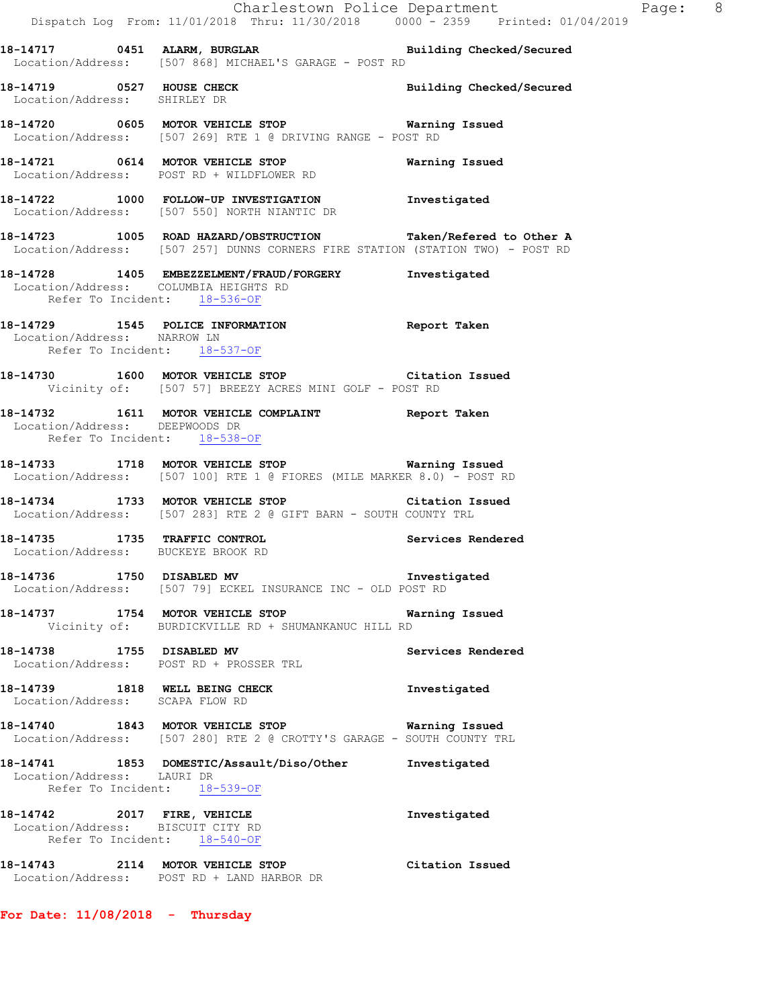|                                                                       | Dispatch Log From: 11/01/2018 Thru: 11/30/2018 0000 - 2359 Printed: 01/04/2019                                                                   | Charlestown Police Department The Rage: 8 |  |
|-----------------------------------------------------------------------|--------------------------------------------------------------------------------------------------------------------------------------------------|-------------------------------------------|--|
|                                                                       | 18-14717 0451 ALARM, BURGLAR Building Checked/Secured<br>Location/Address: [507 868] MICHAEL'S GARAGE - POST RD                                  |                                           |  |
| 18-14719 0527 HOUSE CHECK<br>Location/Address: SHIRLEY DR             |                                                                                                                                                  | Building Checked/Secured                  |  |
|                                                                       | 18-14720 0605 MOTOR VEHICLE STOP Warning Issued<br>Location/Address: [507 269] RTE 1 @ DRIVING RANGE - POST RD                                   |                                           |  |
|                                                                       | 18-14721 0614 MOTOR VEHICLE STOP<br>Location/Address: POST RD + WILDFLOWER RD                                                                    | Warning Issued                            |  |
|                                                                       | 18-14722 1000 FOLLOW-UP INVESTIGATION Investigated<br>Location/Address: [507 550] NORTH NIANTIC DR                                               |                                           |  |
|                                                                       | 18-14723 1005 ROAD HAZARD/OBSTRUCTION Taken/Refered to Other A<br>Location/Address: [507 257] DUNNS CORNERS FIRE STATION (STATION TWO) - POST RD |                                           |  |
| Location/Address: COLUMBIA HEIGHTS RD<br>Refer To Incident: 18-536-OF | 18-14728 1405 EMBEZZELMENT/FRAUD/FORGERY Investigated                                                                                            |                                           |  |
| Location/Address: NARROW LN<br>Refer To Incident: 18-537-OF           | 18-14729 1545 POLICE INFORMATION Report Taken                                                                                                    |                                           |  |
|                                                                       | 18-14730 1600 MOTOR VEHICLE STOP Citation Issued<br>Vicinity of: [507 57] BREEZY ACRES MINI GOLF - POST RD                                       |                                           |  |
| Location/Address: DEEPWOODS DR<br>Refer To Incident: 18-538-OF        | 18-14732 1611 MOTOR VEHICLE COMPLAINT Report Taken                                                                                               |                                           |  |
|                                                                       | 18-14733 1718 MOTOR VEHICLE STOP Warning Issued<br>Location/Address: [507 100] RTE 1 @ FIORES (MILE MARKER 8.0) - POST RD                        |                                           |  |
|                                                                       | 18-14734 1733 MOTOR VEHICLE STOP Citation Issued<br>Location/Address: [507 283] RTE 2 @ GIFT BARN - SOUTH COUNTY TRL                             |                                           |  |
| Location/Address: BUCKEYE BROOK RD                                    | 18-14735 1735 TRAFFIC CONTROL                                                                                                                    | Services Rendered                         |  |
| 18-14736                                                              | Location/Address: [507 79] ECKEL INSURANCE INC - OLD POST RD                                                                                     |                                           |  |
|                                                                       | 18-14737 1754 MOTOR VEHICLE STOP<br>Vicinity of: BURDICKVILLE RD + SHUMANKANUC HILL RD                                                           | Warning Issued                            |  |
| 18-14738 1755 DISABLED MV                                             | Location/Address: POST RD + PROSSER TRL                                                                                                          | Services Rendered                         |  |
| 18-14739 1818 WELL BEING CHECK<br>Location/Address: SCAPA FLOW RD     |                                                                                                                                                  | Investigated                              |  |
|                                                                       | 18-14740 1843 MOTOR VEHICLE STOP<br>Location/Address: [507 280] RTE 2 @ CROTTY'S GARAGE - SOUTH COUNTY TRL                                       | Warning Issued                            |  |
| Location/Address: LAURI DR                                            | 18-14741 1853 DOMESTIC/Assault/Diso/Other Investigated<br>Refer To Incident: 18-539-OF                                                           |                                           |  |
| 18-14742 2017 FIRE, VEHICLE<br>Location/Address: BISCUIT CITY RD      | Refer To Incident: 18-540-OF                                                                                                                     | Investigated                              |  |
|                                                                       | 18-14743 2114 MOTOR VEHICLE STOP<br>Location/Address: POST RD + LAND HARBOR DR                                                                   | Citation Issued                           |  |

**For Date: 11/08/2018 - Thursday**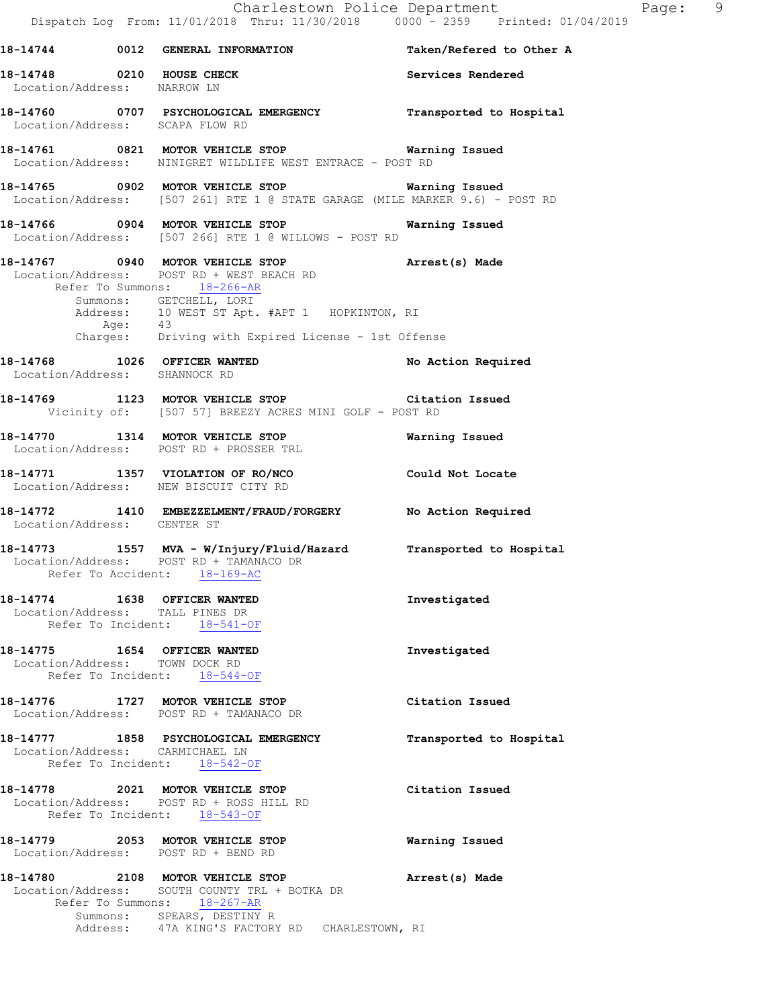Charlestown Police Department Page: 9 Dispatch Log From: 11/01/2018 Thru: 11/30/2018 0000 - 2359 Printed: 01/04/2019 **18-14744 0012 GENERAL INFORMATION Taken/Refered to Other A 18-14748 0210 HOUSE CHECK Services Rendered**  Location/Address: NARROW LN **18-14760 0707 PSYCHOLOGICAL EMERGENCY Transported to Hospital**  Location/Address: SCAPA FLOW RD **18-14761 0821 MOTOR VEHICLE STOP Warning Issued**  Location/Address: NINIGRET WILDLIFE WEST ENTRACE - POST RD **18-14765 0902 MOTOR VEHICLE STOP Warning Issued**  Location/Address: [507 261] RTE 1 @ STATE GARAGE (MILE MARKER 9.6) - POST RD **18-14766 0904 MOTOR VEHICLE STOP Warning Issued**  Location/Address: [507 266] RTE 1 @ WILLOWS - POST RD **18-14767 0940 MOTOR VEHICLE STOP Arrest(s) Made**  Location/Address: POST RD + WEST BEACH RD Refer To Summons: 18-266-AR Summons: GETCHELL, LORI Address: 10 WEST ST Apt. #APT 1 HOPKINTON, RI Age: 43 Charges: Driving with Expired License - 1st Offense **18-14768 1026 OFFICER WANTED No Action Required**  Location/Address: SHANNOCK RD **18-14769 1123 MOTOR VEHICLE STOP Citation Issued**  Vicinity of: [507 57] BREEZY ACRES MINI GOLF - POST RD **18-14770 1314 MOTOR VEHICLE STOP Warning Issued**  Location/Address: POST RD + PROSSER TRL **18-14771 1357 VIOLATION OF RO/NCO Could Not Locate**  Location/Address: NEW BISCUIT CITY RD **18-14772 1410 EMBEZZELMENT/FRAUD/FORGERY No Action Required**  Location/Address: CENTER ST **18-14773 1557 MVA - W/Injury/Fluid/Hazard Transported to Hospital**  Location/Address: POST RD + TAMANACO DR Refer To Accident: 18-169-AC **18-14774 1638 OFFICER WANTED Investigated**  Location/Address: TALL PINES DR Refer To Incident: 18-541-OF **18-14775 1654 OFFICER WANTED Investigated**  Location/Address: TOWN DOCK RD Refer To Incident: 18-544-OF **18-14776 1727 MOTOR VEHICLE STOP Citation Issued**  Location/Address: POST RD + TAMANACO DR **18-14777 1858 PSYCHOLOGICAL EMERGENCY Transported to Hospital**  Location/Address: CARMICHAEL LN Refer To Incident: 18-542-OF **18-14778 2021 MOTOR VEHICLE STOP Citation Issued**  Location/Address: POST RD + ROSS HILL RD Refer To Incident: 18-543-OF **18-14779 2053 MOTOR VEHICLE STOP Warning Issued**  Location/Address: POST RD + BEND RD **18-14780 2108 MOTOR VEHICLE STOP Arrest(s) Made**  Location/Address: SOUTH COUNTY TRL + BOTKA DR Refer To Summons: 18-267-AR Summons: SPEARS, DESTINY R Address: 47A KING'S FACTORY RD CHARLESTOWN, RI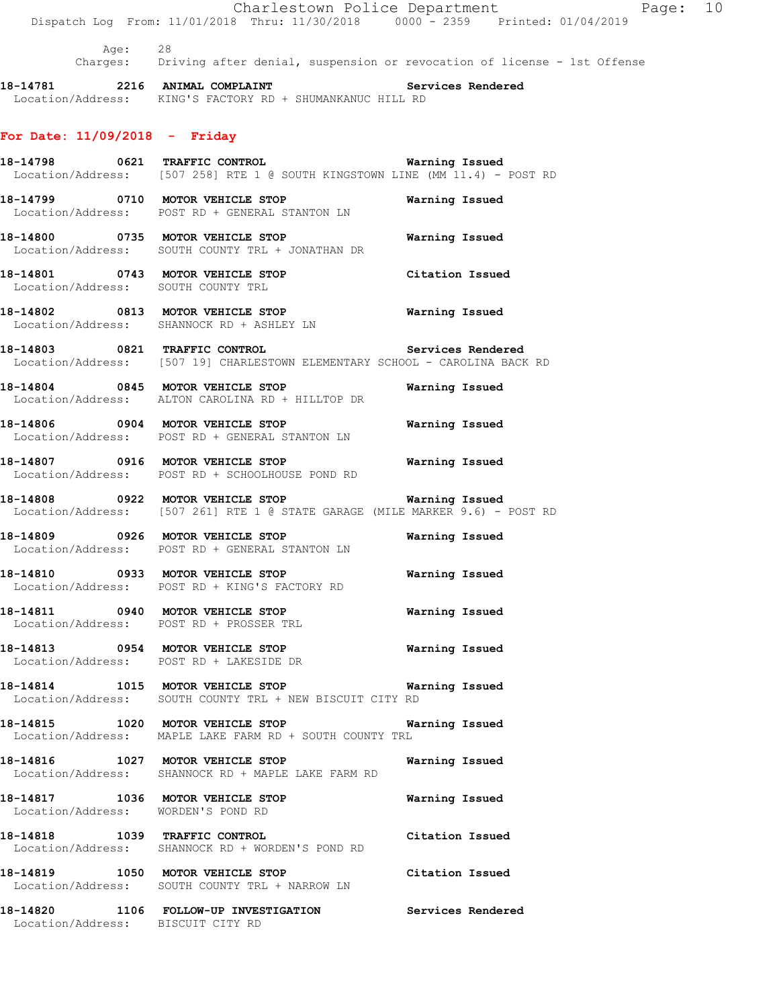Charlestown Police Department Fage: 10 Dispatch Log From: 11/01/2018 Thru: 11/30/2018 0000 - 2359 Printed: 01/04/2019 Age: 28 Charges: Driving after denial, suspension or revocation of license - 1st Offense **18-14781 2216 ANIMAL COMPLAINT Services Rendered**  Location/Address: KING'S FACTORY RD + SHUMANKANUC HILL RD **For Date: 11/09/2018 - Friday 18-14798 0621 TRAFFIC CONTROL Warning Issued**  Location/Address: [507 258] RTE 1 @ SOUTH KINGSTOWN LINE (MM 11.4) - POST RD **18-14799 0710 MOTOR VEHICLE STOP Warning Issued**  Location/Address: POST RD + GENERAL STANTON LN **18-14800 0735 MOTOR VEHICLE STOP Warning Issued**  Location/Address: SOUTH COUNTY TRL + JONATHAN DR **18-14801 0743 MOTOR VEHICLE STOP Citation Issued**  Location/Address: SOUTH COUNTY TRL **18-14802 0813 MOTOR VEHICLE STOP Warning Issued**  Location/Address: SHANNOCK RD + ASHLEY LN **18-14803 0821 TRAFFIC CONTROL Services Rendered**  Location/Address: [507 19] CHARLESTOWN ELEMENTARY SCHOOL - CAROLINA BACK RD **18-14804 0845 MOTOR VEHICLE STOP Warning Issued**  Location/Address: ALTON CAROLINA RD + HILLTOP DR **18-14806 0904 MOTOR VEHICLE STOP Warning Issued**  Location/Address: POST RD + GENERAL STANTON LN **18-14807 0916 MOTOR VEHICLE STOP Warning Issued**  Location/Address: POST RD + SCHOOLHOUSE POND RD **18-14808 0922 MOTOR VEHICLE STOP Warning Issued**  Location/Address: [507 261] RTE 1 @ STATE GARAGE (MILE MARKER 9.6) - POST RD **18-14809 0926 MOTOR VEHICLE STOP Warning Issued**  Location/Address: POST RD + GENERAL STANTON LN **18-14810 0933 MOTOR VEHICLE STOP Warning Issued**  Location/Address: POST RD + KING'S FACTORY RD **18-14811 0940 MOTOR VEHICLE STOP Warning Issued**  Location/Address: POST RD + PROSSER TRL **18-14813 0954 MOTOR VEHICLE STOP Warning Issued**  Location/Address: POST RD + LAKESIDE DR **18-14814 1015 MOTOR VEHICLE STOP Warning Issued**  Location/Address: SOUTH COUNTY TRL + NEW BISCUIT CITY RD **18-14815 1020 MOTOR VEHICLE STOP Warning Issued**  Location/Address: MAPLE LAKE FARM RD + SOUTH COUNTY TRL **18-14816 1027 MOTOR VEHICLE STOP Warning Issued**  Location/Address: SHANNOCK RD + MAPLE LAKE FARM RD **18-14817 1036 MOTOR VEHICLE STOP Warning Issued**  Location/Address: WORDEN'S POND RD **18-14818 1039 TRAFFIC CONTROL Citation Issued**  Location/Address: SHANNOCK RD + WORDEN'S POND RD **18-14819 1050 MOTOR VEHICLE STOP Citation Issued**  Location/Address: SOUTH COUNTY TRL + NARROW LN **18-14820 1106 FOLLOW-UP INVESTIGATION Services Rendered**  Location/Address: BISCUIT CITY RD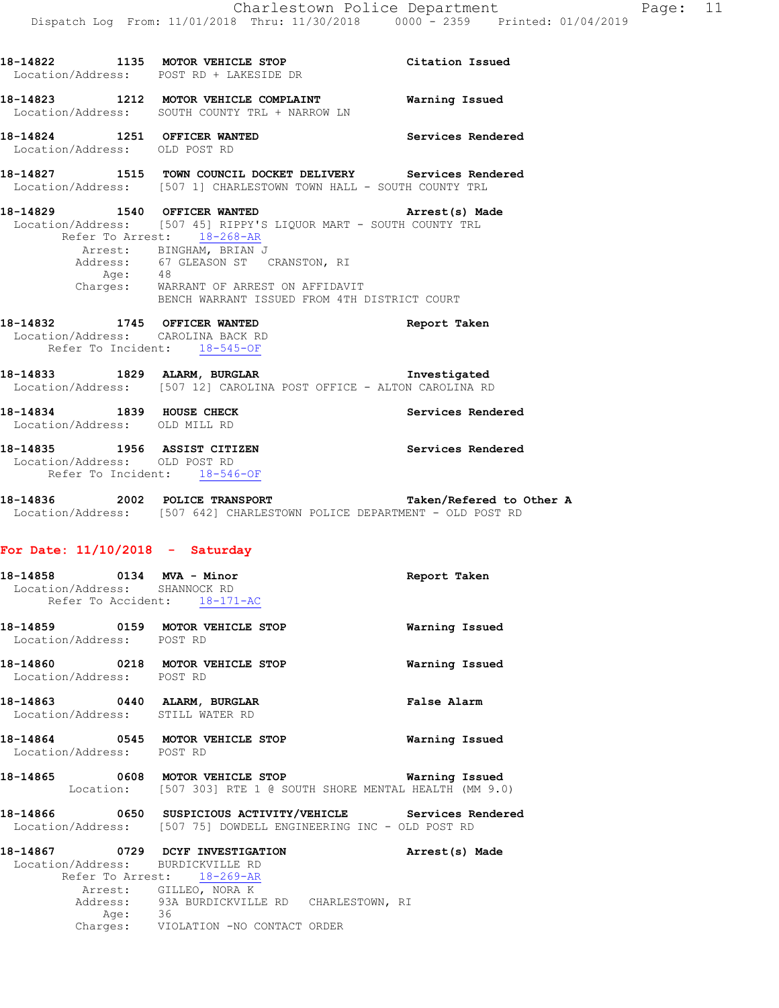|                               | 18-14822 1135 MOTOR VEHICLE STOP<br>Location/Address: POST RD + LAKESIDE DR                                                                                                                                                                                                                              | Citation Issued   |
|-------------------------------|----------------------------------------------------------------------------------------------------------------------------------------------------------------------------------------------------------------------------------------------------------------------------------------------------------|-------------------|
|                               | 18-14823 1212 MOTOR VEHICLE COMPLAINT Warning Issued<br>Location/Address: SOUTH COUNTY TRL + NARROW LN                                                                                                                                                                                                   |                   |
|                               | 18-14824 1251 OFFICER WANTED<br>Location/Address: OLD POST RD                                                                                                                                                                                                                                            | Services Rendered |
|                               | 18-14827 1515 TOWN COUNCIL DOCKET DELIVERY Services Rendered<br>Location/Address: [507 1] CHARLESTOWN TOWN HALL - SOUTH COUNTY TRL                                                                                                                                                                       |                   |
|                               | 18-14829 1540 OFFICER WANTED<br>Location/Address: [507 45] RIPPY'S LIQUOR MART - SOUTH COUNTY TRL<br>Refer To Arrest: 18-268-AR<br>Arrest: BINGHAM, BRIAN J<br>Address: 67 GLEASON ST CRANSTON, RI<br>Age: 48<br>Charges: WARRANT OF ARREST ON AFFIDAVIT<br>BENCH WARRANT ISSUED FROM 4TH DISTRICT COURT | Arrest(s) Made    |
|                               | 18-14832 1745 OFFICER WANTED<br>Location/Address: CAROLINA BACK RD<br>Refer To Incident: 18-545-OF                                                                                                                                                                                                       | Report Taken      |
|                               | 18-14833 1829 ALARM, BURGLAR 1987 Threstigated<br>Location/Address: [507 12] CAROLINA POST OFFICE - ALTON CAROLINA RD                                                                                                                                                                                    |                   |
|                               | 18-14834 1839 HOUSE CHECK Services Rendered Location/Address: OLD MILL RD                                                                                                                                                                                                                                |                   |
|                               | 18-14835 1956 ASSIST CITIZEN<br>Location/Address: OLD POST RD<br>Refer To Incident: 18-546-OF                                                                                                                                                                                                            | Services Rendered |
|                               | 18-14836 2002 POLICE TRANSPORT <b>18-14836</b> Taken/Refered to Other A<br>Location/Address: [507 642] CHARLESTOWN POLICE DEPARTMENT - OLD POST RD                                                                                                                                                       |                   |
|                               | For Date: $11/10/2018$ - Saturday                                                                                                                                                                                                                                                                        |                   |
| Location/Address: SHANNOCK RD | 18-14858 0134 MVA - Minor<br>Refer To Accident: 18-171-AC                                                                                                                                                                                                                                                | Report Taken      |
| Location/Address: POST RD     | 18-14859 0159 MOTOR VEHICLE STOP                                                                                                                                                                                                                                                                         | Warning Issued    |
|                               | 18-14860 0218 MOTOR VEHICLE STOP<br>Location/Address: POST RD                                                                                                                                                                                                                                            | Warning Issued    |
|                               | 18-14863 0440 ALARM, BURGLAR<br>Location/Address: STILL WATER RD                                                                                                                                                                                                                                         | False Alarm       |
| Location/Address: POST RD     | 18-14864 0545 MOTOR VEHICLE STOP                                                                                                                                                                                                                                                                         | Warning Issued    |
|                               | 18-14865 0608 MOTOR VEHICLE STOP<br>Location: [507 303] RTE 1 @ SOUTH SHORE MENTAL HEALTH (MM 9.0)                                                                                                                                                                                                       | Warning Issued    |
|                               | 18-14866 0650 SUSPICIOUS ACTIVITY/VEHICLE Services Rendered<br>Location/Address: [507 75] DOWDELL ENGINEERING INC - OLD POST RD                                                                                                                                                                          |                   |
|                               | 18-14867 0729 DCYF INVESTIGATION<br>Location/Address: BURDICKVILLE RD<br>Refer To Arrest: 18-269-AR                                                                                                                                                                                                      | Arrest(s) Made    |
|                               | Arrest: GILLEO, NORA K                                                                                                                                                                                                                                                                                   |                   |

Address: 93A BURDICKVILLE RD CHARLESTOWN, RI

Charges: VIOLATION -NO CONTACT ORDER

Age: 36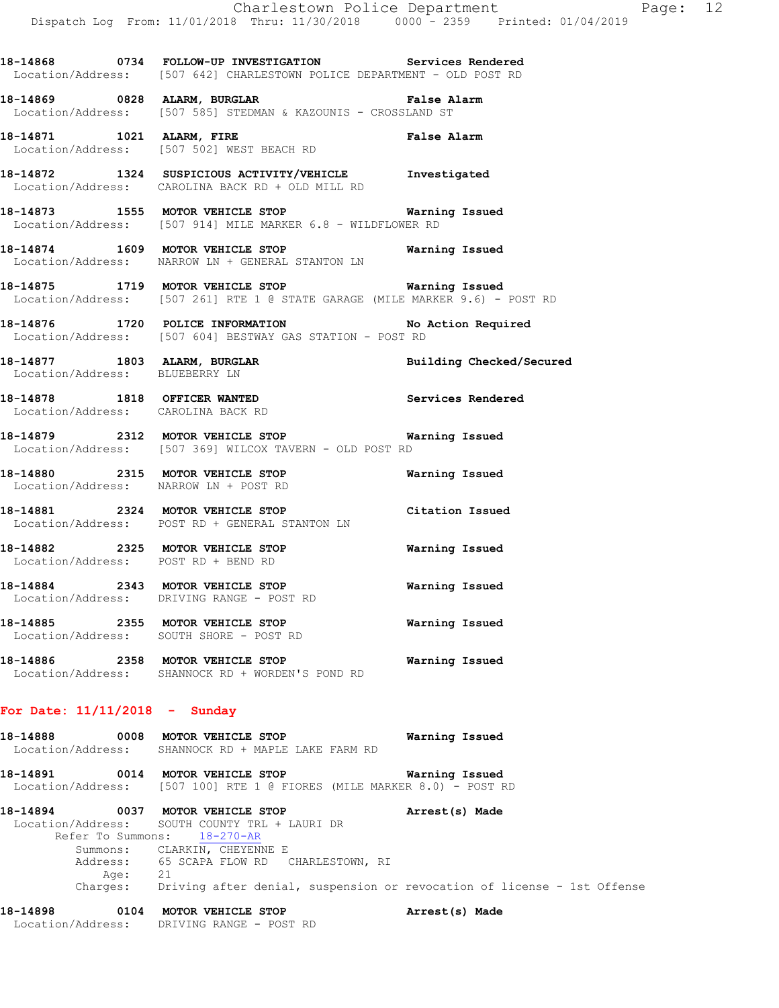**18-14868 0734 FOLLOW-UP INVESTIGATION Services Rendered**  Location/Address: [507 642] CHARLESTOWN POLICE DEPARTMENT - OLD POST RD

**18-14869 0828 ALARM, BURGLAR False Alarm**  Location/Address: [507 585] STEDMAN & KAZOUNIS - CROSSLAND ST

**18-14871 1021 ALARM, FIRE False Alarm**  Location/Address: [507 502] WEST BEACH RD

**18-14872 1324 SUSPICIOUS ACTIVITY/VEHICLE Investigated**  Location/Address: CAROLINA BACK RD + OLD MILL RD

**18-14873 1555 MOTOR VEHICLE STOP Warning Issued**  Location/Address: [507 914] MILE MARKER 6.8 - WILDFLOWER RD

**18-14874 1609 MOTOR VEHICLE STOP Warning Issued**  Location/Address: NARROW LN + GENERAL STANTON LN

**18-14875 1719 MOTOR VEHICLE STOP Warning Issued**  Location/Address: [507 261] RTE 1 @ STATE GARAGE (MILE MARKER 9.6) - POST RD

**18-14876 1720 POLICE INFORMATION No Action Required**  Location/Address: [507 604] BESTWAY GAS STATION - POST RD

**18-14877 1803 ALARM, BURGLAR Building Checked/Secured** 

Location/Address: BLUEBERRY LN

Location/Address: CAROLINA BACK RD

**18-14878 1818 OFFICER WANTED Services Rendered** 

**18-14879 2312 MOTOR VEHICLE STOP Warning Issued**  Location/Address: [507 369] WILCOX TAVERN - OLD POST RD

**18-14880 2315 MOTOR VEHICLE STOP Warning Issued**  Location/Address: NARROW LN + POST RD

**18-14881 2324 MOTOR VEHICLE STOP Citation Issued**  Location/Address: POST RD + GENERAL STANTON LN

**18-14882 2325 MOTOR VEHICLE STOP Warning Issued**  Location/Address: POST RD + BEND RD

**18-14884 2343 MOTOR VEHICLE STOP Warning Issued**  Location/Address: DRIVING RANGE - POST RD

**18-14885 2355 MOTOR VEHICLE STOP Warning Issued**  Location/Address: SOUTH SHORE - POST RD

**18-14886 2358 MOTOR VEHICLE STOP Warning Issued**  Location/Address: SHANNOCK RD + WORDEN'S POND RD

**For Date: 11/11/2018 - Sunday**

**18-14888 0008 MOTOR VEHICLE STOP Warning Issued**  Location/Address: SHANNOCK RD + MAPLE LAKE FARM RD **18-14891 0014 MOTOR VEHICLE STOP Warning Issued** 

Location/Address: [507 100] RTE 1 @ FIORES (MILE MARKER 8.0) - POST RD

**18-14894 0037 MOTOR VEHICLE STOP Arrest(s) Made**  Location/Address: SOUTH COUNTY TRL + LAURI DR Refer To Summons: 18-270-AR Summons: CLARKIN, CHEYENNE E Address: 65 SCAPA FLOW RD CHARLESTOWN, RI Age: 21<br>Charges: Dr Driving after denial, suspension or revocation of license - 1st Offense

**18-14898 0104 MOTOR VEHICLE STOP Arrest(s) Made**  Location/Address: DRIVING RANGE - POST RD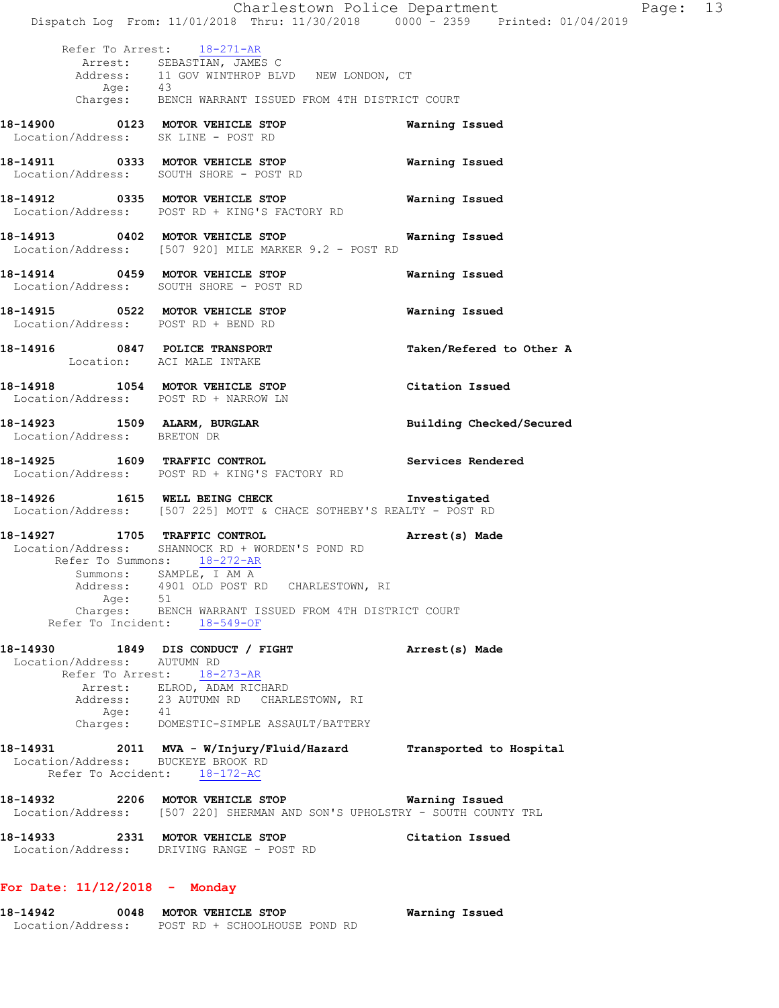|                                         | Dispatch Log From: 11/01/2018 Thru: 11/30/2018 0000 - 2359 Printed: 01/04/2019                                                                                    | Charlestown Police Department | Page: 13 |  |
|-----------------------------------------|-------------------------------------------------------------------------------------------------------------------------------------------------------------------|-------------------------------|----------|--|
| Age: 43                                 | Refer To Arrest: 18-271-AR<br>Arrest: SEBASTIAN, JAMES C<br>Address: 11 GOV WINTHROP BLVD NEW LONDON, CT<br>Charges: BENCH WARRANT ISSUED FROM 4TH DISTRICT COURT |                               |          |  |
| Location/Address: SK LINE - POST RD     | 18-14900 0123 MOTOR VEHICLE STOP                                                                                                                                  | Warning Issued                |          |  |
|                                         | 18-14911 0333 MOTOR VEHICLE STOP<br>Location/Address: SOUTH SHORE - POST RD                                                                                       | Warning Issued                |          |  |
|                                         | 18-14912 0335 MOTOR VEHICLE STOP<br>Location/Address: POST RD + KING'S FACTORY RD                                                                                 | Warning Issued                |          |  |
|                                         | 18-14913 0402 MOTOR VEHICLE STOP 6 Warning Issued<br>Location/Address: [507 920] MILE MARKER 9.2 - POST RD                                                        |                               |          |  |
|                                         | 18-14914 0459 MOTOR VEHICLE STOP<br>Location/Address: SOUTH SHORE - POST RD                                                                                       | Warning Issued                |          |  |
| Location/Address: POST RD + BEND RD     | 18-14915 0522 MOTOR VEHICLE STOP                                                                                                                                  | Warning Issued                |          |  |
| Location: ACI MALE INTAKE               | 18-14916 0847 POLICE TRANSPORT                                                                                                                                    | Taken/Refered to Other A      |          |  |
| Location/Address: POST RD + NARROW LN   | 18-14918 1054 MOTOR VEHICLE STOP                                                                                                                                  | Citation Issued               |          |  |
| Location/Address: BRETON DR             | 18-14923 1509 ALARM, BURGLAR                                                                                                                                      | Building Checked/Secured      |          |  |
|                                         | 18-14925 1609 TRAFFIC CONTROL<br>Location/Address: POST RD + KING'S FACTORY RD                                                                                    | Services Rendered             |          |  |
|                                         | 18-14926 1615 WELL BEING CHECK 1nvestigated<br>Location/Address: [507 225] MOTT & CHACE SOTHEBY'S REALTY - POST RD                                                |                               |          |  |
| 18-14927 1705 TRAFFIC CONTROL           | Location/Address: SHANNOCK RD + WORDEN'S POND RD<br>Refer To Summons: 18-272-AR                                                                                   | Arrest(s) Made                |          |  |
|                                         | Summons: SAMPLE, I AM A<br>Address: 4901 OLD POST RD CHARLESTOWN, RI                                                                                              |                               |          |  |
| Age: 51                                 | Charges: BENCH WARRANT ISSUED FROM 4TH DISTRICT COURT<br>Refer To Incident: 18-549-OF                                                                             |                               |          |  |
| 18-14930<br>Location/Address: AUTUMN RD | 1849 DIS CONDUCT / FIGHT<br>Refer To Arrest: 18-273-AR                                                                                                            | Arrest(s) Made                |          |  |
| Age: 41                                 | Arrest: ELROD, ADAM RICHARD<br>Address: 23 AUTUMN RD CHARLESTOWN, RI                                                                                              |                               |          |  |
|                                         | Charges: DOMESTIC-SIMPLE ASSAULT/BATTERY<br>18-14931 2011 MVA - W/Injury/Fluid/Hazard Transported to Hospital                                                     |                               |          |  |
| Location/Address: BUCKEYE BROOK RD      | Refer To Accident: 18-172-AC                                                                                                                                      |                               |          |  |
|                                         | 18-14932 2206 MOTOR VEHICLE STOP 6 Warning Issued<br>Location/Address: [507 220] SHERMAN AND SON'S UPHOLSTRY - SOUTH COUNTY TRL                                   |                               |          |  |
|                                         | 18-14933 2331 MOTOR VEHICLE STOP<br>Location/Address: DRIVING RANGE - POST RD                                                                                     | Citation Issued               |          |  |
| For Date: $11/12/2018$ - Monday         |                                                                                                                                                                   |                               |          |  |

**18-14942 0048 MOTOR VEHICLE STOP Warning Issued** 

Location/Address: POST RD + SCHOOLHOUSE POND RD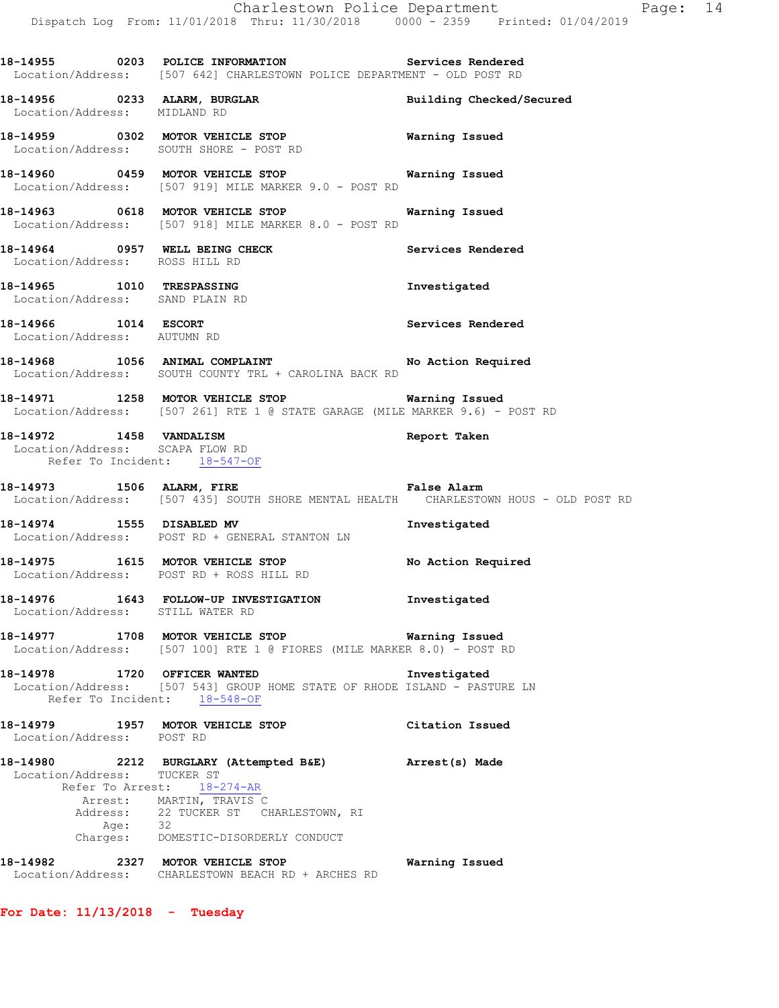**18-14955 0203 POLICE INFORMATION Services Rendered**  Location/Address: [507 642] CHARLESTOWN POLICE DEPARTMENT - OLD POST RD

**18-14956 0233 ALARM, BURGLAR Building Checked/Secured**  Location/Address: MIDLAND RD

**18-14959 0302 MOTOR VEHICLE STOP Warning Issued**  Location/Address: SOUTH SHORE - POST RD

**18-14960 0459 MOTOR VEHICLE STOP Warning Issued**  Location/Address: [507 919] MILE MARKER 9.0 - POST RD

**18-14963 0618 MOTOR VEHICLE STOP Warning Issued**  Location/Address: [507 918] MILE MARKER 8.0 - POST RD

**18-14964 0957 WELL BEING CHECK Services Rendered**  Location/Address: ROSS HILL RD

**18-14965 1010 TRESPASSING Investigated**  Location/Address: SAND PLAIN RD

**18-14966** 1014 ESCORT Services Rendered Location/Address: AUTUMN RD

**18-14968 1056 ANIMAL COMPLAINT No Action Required**  Location/Address: SOUTH COUNTY TRL + CAROLINA BACK RD

**18-14971 1258 MOTOR VEHICLE STOP Warning Issued**  Location/Address: [507 261] RTE 1 @ STATE GARAGE (MILE MARKER 9.6) - POST RD

**18-14972 1458 VANDALISM Report Taken**  Location/Address: SCAPA FLOW RD Refer To Incident: 18-547-OF

**18-14973 1506 ALARM, FIRE False Alarm**  Location/Address: [507 435] SOUTH SHORE MENTAL HEALTH CHARLESTOWN HOUS - OLD POST RD

**18-14974 1555 DISABLED MV Investigated**  Location/Address: POST RD + GENERAL STANTON LN

**18-14975 1615 MOTOR VEHICLE STOP No Action Required**  Location/Address: POST RD + ROSS HILL RD

**18-14976 1643 FOLLOW-UP INVESTIGATION Investigated**  Location/Address: STILL WATER RD

**18-14977 1708 MOTOR VEHICLE STOP Warning Issued**  Location/Address: [507 100] RTE 1 @ FIORES (MILE MARKER 8.0) - POST RD

**18-14978 1720 OFFICER WANTED Investigated**  Location/Address: [507 543] GROUP HOME STATE OF RHODE ISLAND - PASTURE LN Refer To Incident: 18-548-OF

**18-14979 1957 MOTOR VEHICLE STOP Citation Issued**  Location/Address: POST RD

**18-14980 2212 BURGLARY (Attempted B&E) Arrest(s) Made**  Location/Address: TUCKER ST Refer To Arrest: 18-274-AR Arrest: MARTIN, TRAVIS C 22 TUCKER ST CHARLESTOWN, RI Address: 22<br>Age: 32 Charges: DOMESTIC-DISORDERLY CONDUCT **18-14982 2327 MOTOR VEHICLE STOP Warning Issued** 

Location/Address: CHARLESTOWN BEACH RD + ARCHES RD

**For Date: 11/13/2018 - Tuesday**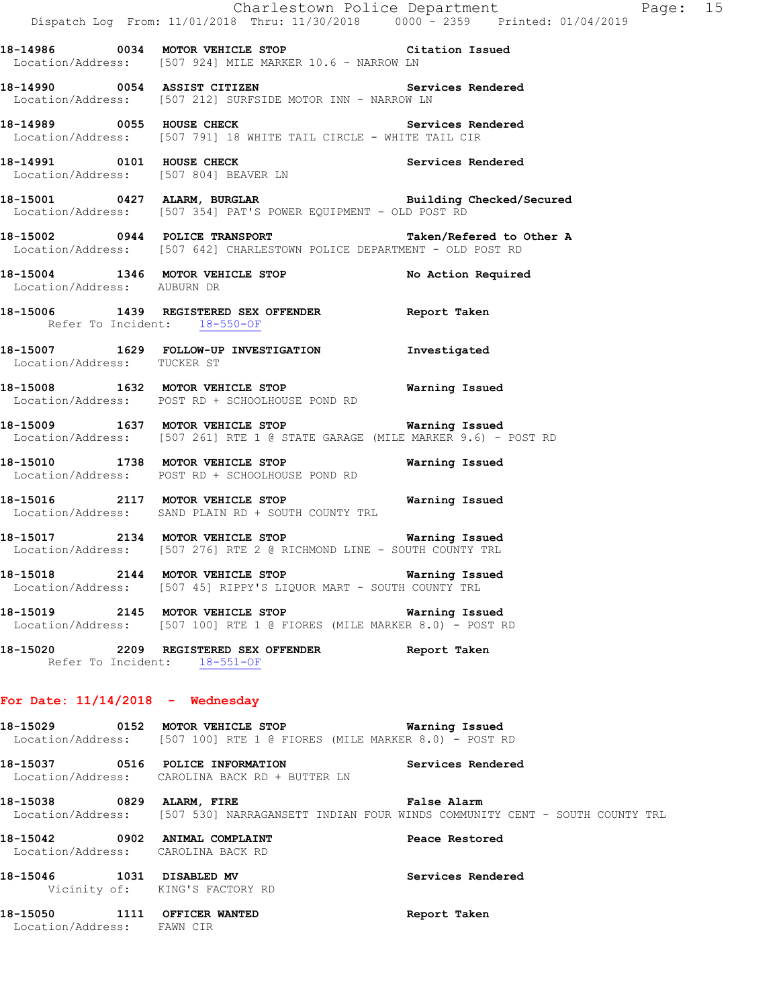|                                                                      | Dispatch Log From: 11/01/2018 Thru: 11/30/2018 0000 - 2359 Printed: 01/04/2019                                                              | Charlestown Police Department Page: 15 |  |
|----------------------------------------------------------------------|---------------------------------------------------------------------------------------------------------------------------------------------|----------------------------------------|--|
|                                                                      | 18-14986 0034 MOTOR VEHICLE STOP Citation Issued<br>Location/Address: [507 924] MILE MARKER 10.6 - NARROW LN                                |                                        |  |
|                                                                      | 18-14990 0054 ASSIST CITIZEN Services Rendered<br>Location/Address: [507 212] SURFSIDE MOTOR INN - NARROW LN                                |                                        |  |
|                                                                      | 18-14989 0055 HOUSE CHECK 2008 Services Rendered<br>Location/Address: [507 791] 18 WHITE TAIL CIRCLE - WHITE TAIL CIR                       |                                        |  |
|                                                                      | 18-14991 0101 HOUSE CHECK Services Rendered<br>Location/Address: [507 804] BEAVER LN                                                        |                                        |  |
|                                                                      | 18-15001 0427 ALARM, BURGLAR Building Checked/Secured<br>Location/Address: [507 354] PAT'S POWER EQUIPMENT - OLD POST RD                    |                                        |  |
|                                                                      | 18-15002 0944 POLICE TRANSPORT<br>Location/Address: [507 642] CHARLESTOWN POLICE DEPARTMENT - OLD POST RD                                   | Taken/Refered to Other A               |  |
| Location/Address: AUBURN DR                                          | 18-15004 1346 MOTOR VEHICLE STOP No Action Required                                                                                         |                                        |  |
| Refer To Incident: 18-550-OF                                         | 18-15006 1439 REGISTERED SEX OFFENDER Report Taken                                                                                          |                                        |  |
|                                                                      | 18-15007   1629   FOLLOW-UP INVESTIGATION   Investigated Location/Address:   TUCKER ST                                                      |                                        |  |
|                                                                      | Location/Address: POST RD + SCHOOLHOUSE POND RD                                                                                             |                                        |  |
|                                                                      | 18-15009 1637 MOTOR VEHICLE STOP <b>Warning Issued</b><br>Location/Address: [507 261] RTE 1 @ STATE GARAGE (MILE MARKER 9.6) - POST RD      |                                        |  |
|                                                                      | 18-15010 1738 MOTOR VEHICLE STOP<br>Location/Address: POST RD + SCHOOLHOUSE POND RD                                                         | Warning Issued                         |  |
|                                                                      | 18-15016 2117 MOTOR VEHICLE STOP Warning Issued<br>Location/Address: SAND PLAIN RD + SOUTH COUNTY TRL                                       |                                        |  |
|                                                                      | 18-15017 2134 MOTOR VEHICLE STOP <b>Warning Issued</b><br>Location/Address: [507 276] RTE 2 @ RICHMOND LINE - SOUTH COUNTY TRL              |                                        |  |
|                                                                      | 18-15018 2144 MOTOR VEHICLE STOP Warning Issued<br>Location/Address: [507 45] RIPPY'S LIQUOR MART - SOUTH COUNTY TRL                        |                                        |  |
|                                                                      | 18-15019 2145 MOTOR VEHICLE STOP Warning Issued<br>Location/Address: [507 100] RTE 1 @ FIORES (MILE MARKER 8.0) - POST RD                   |                                        |  |
| Refer To Incident: 18-551-OF                                         | 18-15020 2209 REGISTERED SEX OFFENDER Report Taken                                                                                          |                                        |  |
| For Date: $11/14/2018$ - Wednesday                                   |                                                                                                                                             |                                        |  |
|                                                                      | 18-15029 0152 MOTOR VEHICLE STOP 6 Warning Issued<br>Location/Address: [507 100] RTE 1 @ FIORES (MILE MARKER 8.0) - POST RD                 |                                        |  |
|                                                                      | 18-15037 0516 POLICE INFORMATION Services Rendered<br>Location/Address: CAROLINA BACK RD + BUTTER LN                                        |                                        |  |
|                                                                      | 18-15038 6829 ALARM, FIRE CHARE Ralse Alarm<br>Location/Address: [507 530] NARRAGANSETT INDIAN FOUR WINDS COMMUNITY CENT - SOUTH COUNTY TRL |                                        |  |
| 18-15042 0902 ANIMAL COMPLAINT<br>Location/Address: CAROLINA BACK RD |                                                                                                                                             | Peace Restored                         |  |
| 18-15046    1031    DISABLED MV                                      | Vicinity of: KING'S FACTORY RD                                                                                                              | Services Rendered                      |  |
| 18-15050 1111 OFFICER WANTED                                         |                                                                                                                                             | Report Taken                           |  |

Location/Address: FAWN CIR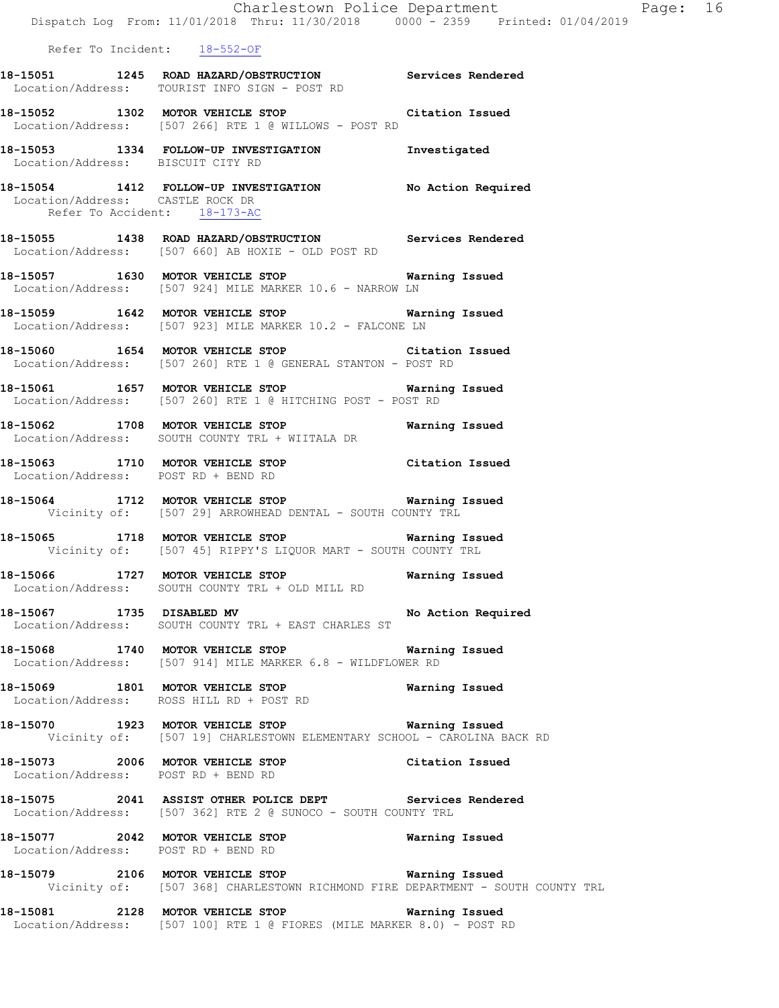|                                                                  | Charlestown Police Department<br>Dispatch Log From: 11/01/2018 Thru: 11/30/2018 0000 - 2359 Printed: 01/04/2019                     |                | Page: 16 |  |
|------------------------------------------------------------------|-------------------------------------------------------------------------------------------------------------------------------------|----------------|----------|--|
| Refer To Incident: 18-552-OF                                     |                                                                                                                                     |                |          |  |
|                                                                  | 18-15051 1245 ROAD HAZARD/OBSTRUCTION Services Rendered<br>Location/Address: TOURIST INFO SIGN - POST RD                            |                |          |  |
|                                                                  | 18-15052 1302 MOTOR VEHICLE STOP Citation Issued<br>Location/Address: [507 266] RTE 1 @ WILLOWS - POST RD                           |                |          |  |
| Location/Address: BISCUIT CITY RD                                | 18-15053 1334 FOLLOW-UP INVESTIGATION Investigated                                                                                  |                |          |  |
| Location/Address: CASTLE ROCK DR<br>Refer To Accident: 18-173-AC | 18-15054 1412 FOLLOW-UP INVESTIGATION No Action Required                                                                            |                |          |  |
|                                                                  | 18-15055 1438 ROAD HAZARD/OBSTRUCTION Services Rendered<br>Location/Address: [507 660] AB HOXIE - OLD POST RD                       |                |          |  |
|                                                                  | 18-15057 1630 MOTOR VEHICLE STOP <b>Warning Issued</b><br>Location/Address: [507 924] MILE MARKER 10.6 - NARROW LN                  |                |          |  |
|                                                                  | 18-15059 1642 MOTOR VEHICLE STOP 6 Warning Issued<br>Location/Address: [507 923] MILE MARKER 10.2 - FALCONE LN                      |                |          |  |
|                                                                  | 18-15060 1654 MOTOR VEHICLE STOP Citation Issued<br>Location/Address: [507 260] RTE 1 @ GENERAL STANTON - POST RD                   |                |          |  |
|                                                                  | 18-15061 1657 MOTOR VEHICLE STOP 6 Warning Issued<br>Location/Address: [507 260] RTE 1 @ HITCHING POST - POST RD                    |                |          |  |
|                                                                  | 18-15062 1708 MOTOR VEHICLE STOP 6 Warning Issued<br>Location/Address: SOUTH COUNTY TRL + WIITALA DR                                |                |          |  |
| Location/Address: POST RD + BEND RD                              | 18-15063 1710 MOTOR VEHICLE STOP Citation Issued                                                                                    |                |          |  |
|                                                                  | 18-15064 1712 MOTOR VEHICLE STOP 6 Warning Issued<br>Vicinity of: [507 29] ARROWHEAD DENTAL - SOUTH COUNTY TRL                      |                |          |  |
|                                                                  | 18-15065 1718 MOTOR VEHICLE STOP 6 Warning Issued<br>Vicinity of: [507 45] RIPPY'S LIQUOR MART - SOUTH COUNTY TRL                   |                |          |  |
|                                                                  | 18-15066 1727 MOTOR VEHICLE STOP<br>Location/Address: SOUTH COUNTY TRL + OLD MILL RD                                                | Warning Issued |          |  |
|                                                                  | 18-15067 1735 DISABLED MV No Action Required<br>Location/Address: SOUTH COUNTY TRL + EAST CHARLES ST                                |                |          |  |
|                                                                  | 18-15068 1740 MOTOR VEHICLE STOP 6 Warning Issued<br>Location/Address: [507 914] MILE MARKER 6.8 - WILDFLOWER RD                    |                |          |  |
|                                                                  | 18-15069 1801 MOTOR VEHICLE STOP Warning Issued<br>Location/Address: ROSS HILL RD + POST RD                                         |                |          |  |
|                                                                  | 18-15070 1923 MOTOR VEHICLE STOP <b>Warning Issued</b><br>Vicinity of: [507 19] CHARLESTOWN ELEMENTARY SCHOOL - CAROLINA BACK RD    |                |          |  |
| Location/Address: POST RD + BEND RD                              | 18-15073 2006 MOTOR VEHICLE STOP Citation Issued                                                                                    |                |          |  |
|                                                                  | 18-15075 2041 ASSIST OTHER POLICE DEPT Services Rendered<br>Location/Address: [507 362] RTE 2 @ SUNOCO - SOUTH COUNTY TRL           |                |          |  |
|                                                                  | 18-15077 2042 MOTOR VEHICLE STOP <b>WATER WATER</b><br>Location/Address: POST RD + BEND RD                                          |                |          |  |
|                                                                  | 18-15079 2106 MOTOR VEHICLE STOP 6 Warning Issued<br>Vicinity of: [507 368] CHARLESTOWN RICHMOND FIRE DEPARTMENT - SOUTH COUNTY TRL |                |          |  |
|                                                                  | 18-15081 2128 MOTOR VEHICLE STOP<br>Location/Address: [507 100] RTE 1 @ FIORES (MILE MARKER 8.0) - POST RD                          | Warning Issued |          |  |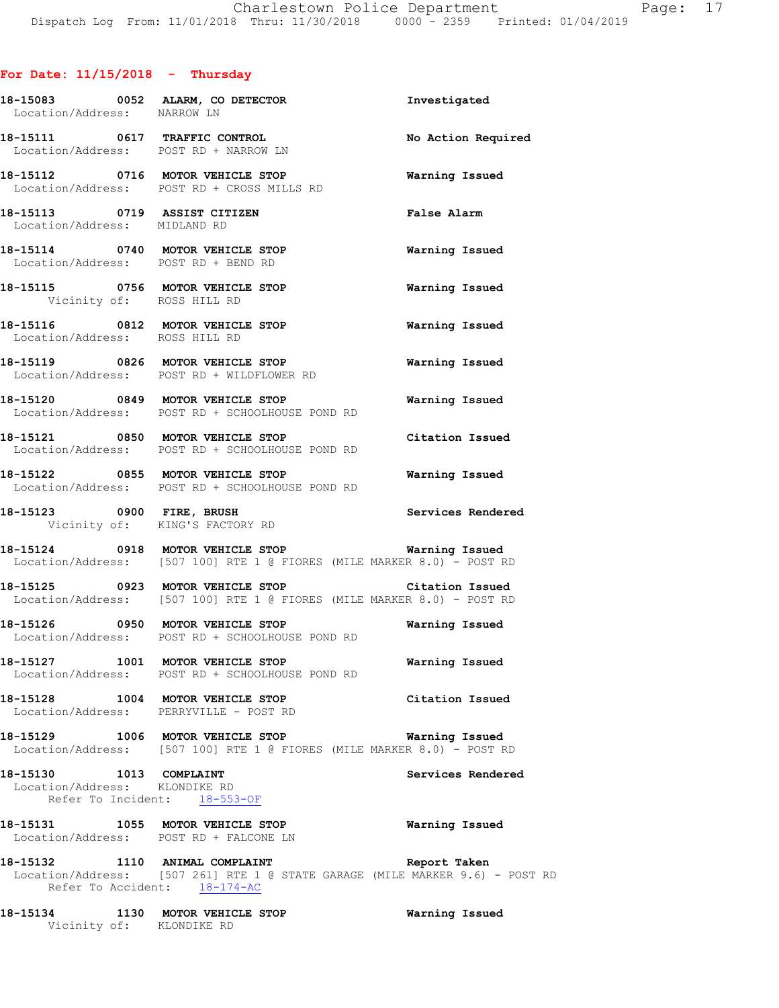# **For Date: 11/15/2018 - Thursday**

| Location/Address: NARROW LN                                  | 18-15083 0052 ALARM, CO DETECTOR                                                                                                               | Investigated          |
|--------------------------------------------------------------|------------------------------------------------------------------------------------------------------------------------------------------------|-----------------------|
|                                                              | 18-15111 0617 TRAFFIC CONTROL<br>Location/Address: POST RD + NARROW LN                                                                         | No Action Required    |
|                                                              | 18-15112 0716 MOTOR VEHICLE STOP<br>Location/Address: POST RD + CROSS MILLS RD                                                                 | Warning Issued        |
| 18-15113 0719 ASSIST CITIZEN<br>Location/Address: MIDLAND RD |                                                                                                                                                | <b>False Alarm</b>    |
|                                                              | 18-15114 0740 MOTOR VEHICLE STOP<br>Location/Address: POST RD + BEND RD                                                                        | <b>Warning Issued</b> |
| Vicinity of: ROSS HILL RD                                    | 18-15115 0756 MOTOR VEHICLE STOP                                                                                                               | Warning Issued        |
| Location/Address: ROSS HILL RD                               | 18-15116 0812 MOTOR VEHICLE STOP                                                                                                               | Warning Issued        |
|                                                              | 18-15119 0826 MOTOR VEHICLE STOP<br>Location/Address: POST RD + WILDFLOWER RD                                                                  | Warning Issued        |
|                                                              | 18-15120 0849 MOTOR VEHICLE STOP<br>Location/Address: POST RD + SCHOOLHOUSE POND RD                                                            | <b>Warning Issued</b> |
|                                                              | 18-15121 0850 MOTOR VEHICLE STOP<br>Location/Address: POST RD + SCHOOLHOUSE POND RD                                                            | Citation Issued       |
|                                                              | 18-15122 0855 MOTOR VEHICLE STOP Warning Issued<br>Location/Address: POST RD + SCHOOLHOUSE POND RD                                             |                       |
|                                                              | 18-15123 0900 FIRE, BRUSH<br>Vicinity of: KING'S FACTORY RD                                                                                    | Services Rendered     |
|                                                              | 18-15124 0918 MOTOR VEHICLE STOP Warning Issued<br>Location/Address: [507 100] RTE 1 @ FIORES (MILE MARKER 8.0) - POST RD                      |                       |
|                                                              | 18-15125 0923 MOTOR VEHICLE STOP Citation Issued<br>Location/Address: [507 100] RTE 1 @ FIORES (MILE MARKER 8.0) - POST RD                     |                       |
|                                                              | 18-15126 0950 MOTOR VEHICLE STOP 6 Warning Issued<br>Location/Address: POST RD + SCHOOLHOUSE POND RD                                           |                       |
|                                                              | 18-15127 1001 MOTOR VEHICLE STOP<br>Location/Address: POST RD + SCHOOLHOUSE POND RD                                                            | <b>Warning Issued</b> |
|                                                              | 18-15128 1004 MOTOR VEHICLE STOP Citation Issued<br>Location/Address: PERRYVILLE - POST RD                                                     |                       |
|                                                              | 18-15129 1006 MOTOR VEHICLE STOP<br>  Location/Address: [507 100] RTE 1 @ FIORES (MILE MARKER 8.0) - POST RD                                   | Warning Issued        |
| 18-15130 1013 COMPLAINT<br>Location/Address: KLONDIKE RD     | Refer To Incident: 18-553-OF                                                                                                                   | Services Rendered     |
|                                                              | 18-15131 1055 MOTOR VEHICLE STOP<br>Location/Address: POST RD + FALCONE LN                                                                     | Warning Issued        |
|                                                              | 18-15132 1110 ANIMAL COMPLAINT<br>Location/Address: [507 261] RTE 1 @ STATE GARAGE (MILE MARKER 9.6) - POST RD<br>Refer To Accident: 18-174-AC | Report Taken          |
| Vicinity of: KLONDIKE RD                                     | 18-15134 1130 MOTOR VEHICLE STOP                                                                                                               | Warning Issued        |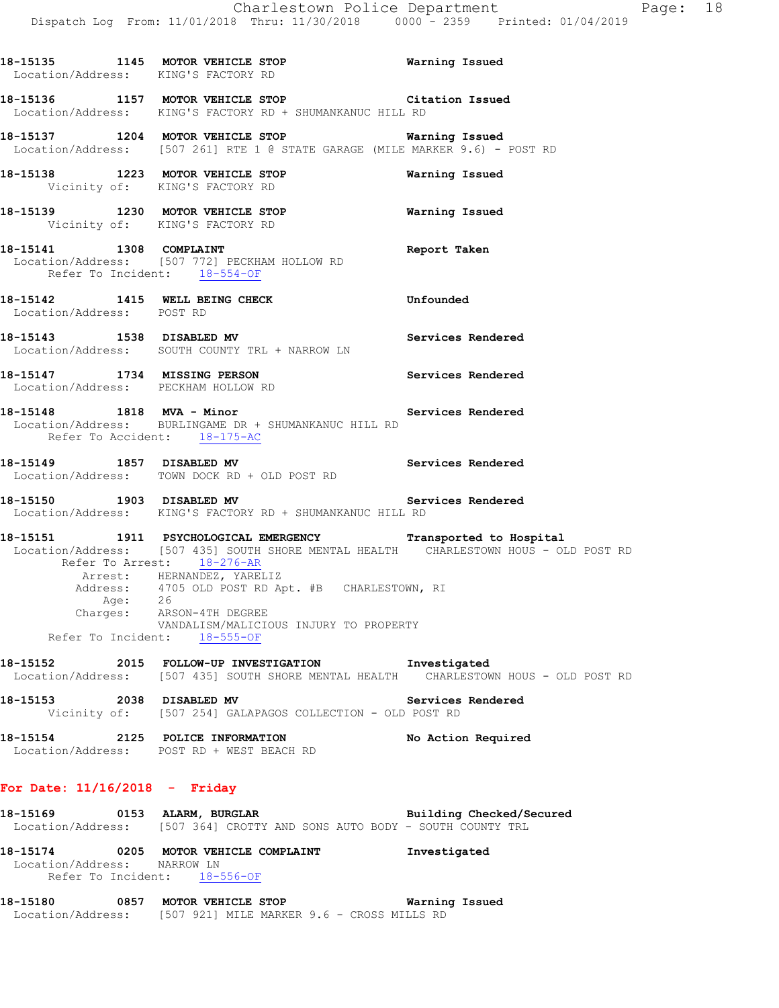**18-15135 1145 MOTOR VEHICLE STOP Warning Issued**  Location/Address: KING'S FACTORY RD **18-15136 1157 MOTOR VEHICLE STOP Citation Issued**  Location/Address: KING'S FACTORY RD + SHUMANKANUC HILL RD **18-15137 1204 MOTOR VEHICLE STOP Warning Issued**  Location/Address: [507 261] RTE 1 @ STATE GARAGE (MILE MARKER 9.6) - POST RD **18-15138 1223 MOTOR VEHICLE STOP Warning Issued**  Vicinity of: KING'S FACTORY RD **18-15139 1230 MOTOR VEHICLE STOP Warning Issued**  Vicinity of: KING'S FACTORY RD **18-15141 1308 COMPLAINT Report Taken**  Location/Address: [507 772] PECKHAM HOLLOW RD Refer To Incident: 18-554-OF **18-15142 1415 WELL BEING CHECK Unfounded**  Location/Address: POST RD **18-15143 1538 DISABLED MV Services Rendered**  Location/Address: SOUTH COUNTY TRL + NARROW LN **18-15147 1734 MISSING PERSON Services Rendered**  Location/Address: PECKHAM HOLLOW RD **18-15148 1818 MVA - Minor Services Rendered**  Location/Address: BURLINGAME DR + SHUMANKANUC HILL RD Refer To Accident: 18-175-AC **18-15149 1857 DISABLED MV Services Rendered**  Location/Address: TOWN DOCK RD + OLD POST RD **18-15150 1903 DISABLED MV Services Rendered**  Location/Address: KING'S FACTORY RD + SHUMANKANUC HILL RD **18-15151 1911 PSYCHOLOGICAL EMERGENCY Transported to Hospital**  Location/Address: [507 435] SOUTH SHORE MENTAL HEALTH CHARLESTOWN HOUS - OLD POST RD Refer To Arrest: 18-276-AR Arrest: HERNANDEZ, YARELIZ Address: 4705 OLD POST RD Apt. #B CHARLESTOWN, RI Age: 26 Charges: ARSON-4TH DEGREE VANDALISM/MALICIOUS INJURY TO PROPERTY Refer To Incident: 18-555-OF **18-15152 2015 FOLLOW-UP INVESTIGATION Investigated**  Location/Address: [507 435] SOUTH SHORE MENTAL HEALTH CHARLESTOWN HOUS - OLD POST RD **18-15153 2038 DISABLED MV Services Rendered**  Vicinity of: [507 254] GALAPAGOS COLLECTION - OLD POST RD **18-15154 2125 POLICE INFORMATION No Action Required**  Location/Address: POST RD + WEST BEACH RD

### **For Date: 11/16/2018 - Friday**

18-15169 **0153 ALARM, BURGLAR BEE** Building Checked/Secured Location/Address: [507 364] CROTTY AND SONS AUTO BODY - SOUTH COUNTY TRL

**18-15174 0205 MOTOR VEHICLE COMPLAINT Investigated**  Location/Address: NARROW LN Refer To Incident: 18-556-OF

**18-15180 0857 MOTOR VEHICLE STOP Warning Issued**  Location/Address: [507 921] MILE MARKER 9.6 - CROSS MILLS RD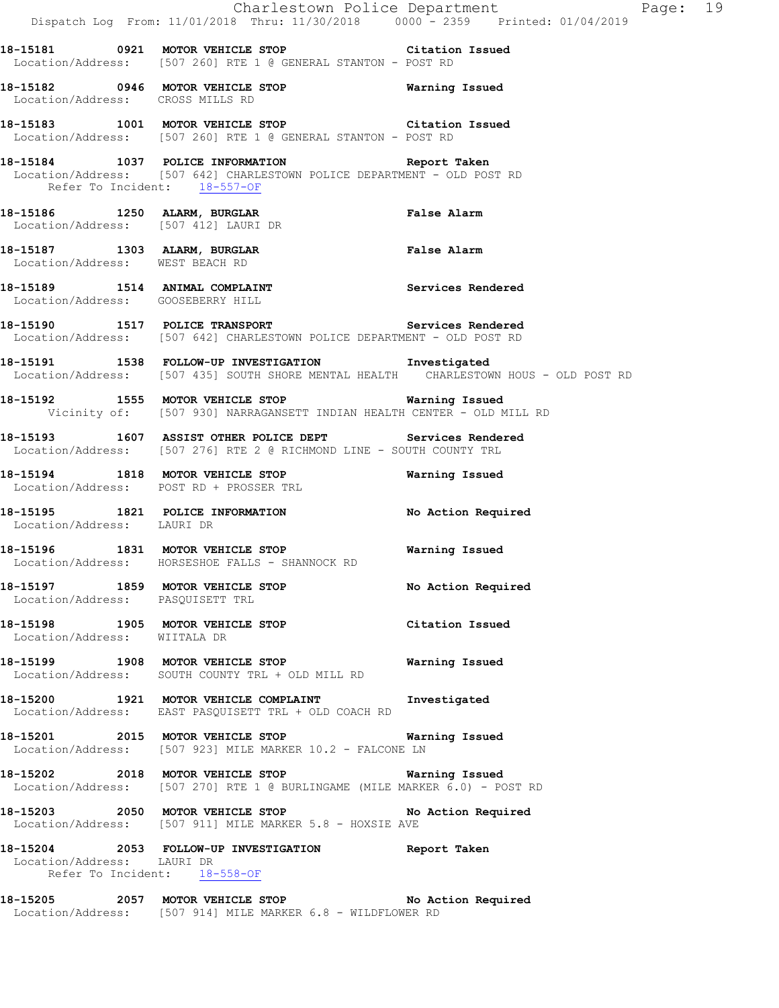|                                                                      | Dispatch Log From: 11/01/2018 Thru: 11/30/2018 0000 - 2359 Printed: 01/04/2019                                                             | Charlestown Police Department<br>Page: 19 |
|----------------------------------------------------------------------|--------------------------------------------------------------------------------------------------------------------------------------------|-------------------------------------------|
|                                                                      | 18-15181 		 0921 MOTOR VEHICLE STOP 		 Citation Issued<br>Location/Address: [507 260] RTE 1 @ GENERAL STANTON - POST RD                    |                                           |
| Location/Address: CROSS MILLS RD                                     | 18-15182 0946 MOTOR VEHICLE STOP 6 Warning Issued                                                                                          |                                           |
|                                                                      | 18-15183 1001 MOTOR VEHICLE STOP Citation Issued<br>Location/Address: [507 260] RTE 1 @ GENERAL STANTON - POST RD                          |                                           |
| Refer To Incident: 18-557-OF                                         | 18-15184 1037 POLICE INFORMATION Report Taken<br>Location/Address: [507 642] CHARLESTOWN POLICE DEPARTMENT - OLD POST RD                   |                                           |
|                                                                      | 18-15186 1250 ALARM, BURGLAR<br>Location/Address: [507 412] LAURI DR                                                                       | False Alarm                               |
| Location/Address: WEST BEACH RD                                      | 18-15187 1303 ALARM, BURGLAR                                                                                                               | False Alarm                               |
| Location/Address: GOOSEBERRY HILL                                    | 18-15189 1514 ANIMAL COMPLAINT Services Rendered                                                                                           |                                           |
|                                                                      | 18-15190 1517 POLICE TRANSPORT Services Rendered<br>Location/Address: [507 642] CHARLESTOWN POLICE DEPARTMENT - OLD POST RD                |                                           |
|                                                                      | 18-15191 1538 FOLLOW-UP INVESTIGATION Investigated<br>Location/Address: [507 435] SOUTH SHORE MENTAL HEALTH CHARLESTOWN HOUS - OLD POST RD |                                           |
|                                                                      | 18-15192 1555 MOTOR VEHICLE STOP Warning Issued<br>Vicinity of: [507 930] NARRAGANSETT INDIAN HEALTH CENTER - OLD MILL RD                  |                                           |
|                                                                      | 18-15193 1607 ASSIST OTHER POLICE DEPT Services Rendered<br>Location/Address: [507 276] RTE 2 @ RICHMOND LINE - SOUTH COUNTY TRL           |                                           |
|                                                                      | 18-15194 1818 MOTOR VEHICLE STOP<br>Location/Address: POST RD + PROSSER TRL                                                                | Warning Issued                            |
| Location/Address: LAURI DR                                           | 18-15195 1821 POLICE INFORMATION No Action Required                                                                                        |                                           |
|                                                                      | 18-15196 1831 MOTOR VEHICLE STOP<br>Location/Address: HORSESHOE FALLS - SHANNOCK RD                                                        | Warning Issued                            |
| 18-15197 1859 MOTOR VEHICLE STOP<br>Location/Address: PASQUISETT TRL |                                                                                                                                            | No Action Required                        |
| Location/Address: WIITALA DR                                         | 18-15198 1905 MOTOR VEHICLE STOP                                                                                                           | Citation Issued                           |
|                                                                      | 18-15199 1908 MOTOR VEHICLE STOP 18 Warning Issued<br>Location/Address: SOUTH COUNTY TRL + OLD MILL RD                                     |                                           |
|                                                                      | 18-15200 1921 MOTOR VEHICLE COMPLAINT 1Nuestigated<br>Location/Address: EAST PASQUISETT TRL + OLD COACH RD                                 |                                           |
| 18-15201 2015 MOTOR VEHICLE STOP                                     | <b>Warning Issued</b><br>Location/Address: [507 923] MILE MARKER 10.2 - FALCONE LN                                                         |                                           |
|                                                                      | 18-15202 2018 MOTOR VEHICLE STOP Warning Issued<br>Location/Address: [507 270] RTE 1 @ BURLINGAME (MILE MARKER 6.0) - POST RD              |                                           |
|                                                                      | 18-15203 2050 MOTOR VEHICLE STOP<br>Location/Address: [507 911] MILE MARKER 5.8 - HOXSIE AVE                                               | No Action Required                        |
| Location/Address: LAURI DR<br>Refer To Incident: 18-558-OF           | 18-15204 2053 FOLLOW-UP INVESTIGATION Report Taken                                                                                         |                                           |
|                                                                      | 18-15205 2057 MOTOR VEHICLE STOP No Action Required<br>Location/Address: [507 914] MILE MARKER 6.8 - WILDFLOWER RD                         |                                           |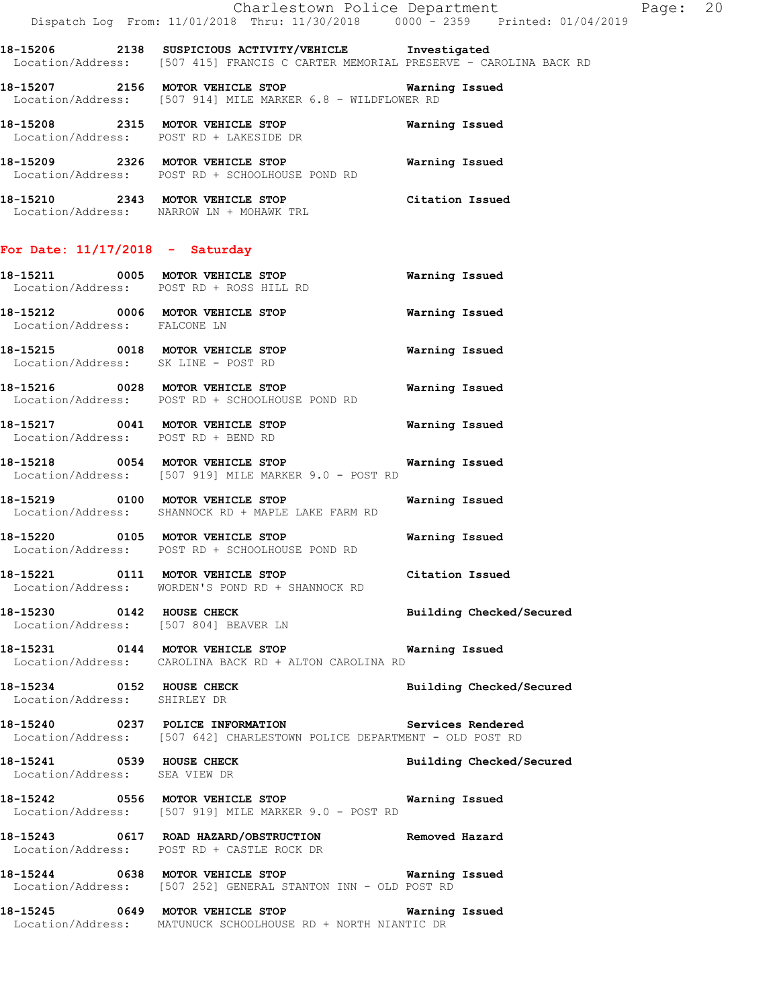|                                     | Dispatch Log From: 11/01/2018 Thru: 11/30/2018 0000 - 2359 Printed: 01/04/2019                                                              | Charlestown Police Department | Page: 20 |  |
|-------------------------------------|---------------------------------------------------------------------------------------------------------------------------------------------|-------------------------------|----------|--|
|                                     | 18-15206 2138 SUSPICIOUS ACTIVITY/VEHICLE Investigated<br>Location/Address: [507 415] FRANCIS C CARTER MEMORIAL PRESERVE - CAROLINA BACK RD |                               |          |  |
|                                     | 18-15207 2156 MOTOR VEHICLE STOP<br>Location/Address: [507 914] MILE MARKER 6.8 - WILDFLOWER RD                                             | Warning Issued                |          |  |
|                                     | 18-15208 2315 MOTOR VEHICLE STOP<br>Location/Address: POST RD + LAKESIDE DR                                                                 | Warning Issued                |          |  |
|                                     | 18-15209 2326 MOTOR VEHICLE STOP<br>Location/Address: POST RD + SCHOOLHOUSE POND RD                                                         | Warning Issued                |          |  |
|                                     | 18-15210 2343 MOTOR VEHICLE STOP<br>Location/Address: NARROW LN + MOHAWK TRL                                                                | Citation Issued               |          |  |
| For Date: $11/17/2018$ - Saturday   |                                                                                                                                             |                               |          |  |
|                                     | 18-15211 0005 MOTOR VEHICLE STOP<br>Location/Address: POST RD + ROSS HILL RD                                                                | Warning Issued                |          |  |
| Location/Address: FALCONE LN        | 18-15212 0006 MOTOR VEHICLE STOP                                                                                                            | Warning Issued                |          |  |
| Location/Address: SK LINE - POST RD | 18-15215 0018 MOTOR VEHICLE STOP                                                                                                            | <b>Warning Issued</b>         |          |  |
|                                     | 18-15216 0028 MOTOR VEHICLE STOP<br>Location/Address: POST RD + SCHOOLHOUSE POND RD                                                         | Warning Issued                |          |  |
| Location/Address: POST RD + BEND RD | 18-15217 0041 MOTOR VEHICLE STOP <b>Warning Issued</b>                                                                                      |                               |          |  |
|                                     | 18-15218 0054 MOTOR VEHICLE STOP 6 Warning Issued<br>Location/Address: [507 919] MILE MARKER 9.0 - POST RD                                  |                               |          |  |
|                                     | 18-15219 0100 MOTOR VEHICLE STOP<br>Location/Address: SHANNOCK RD + MAPLE LAKE FARM RD                                                      | Warning Issued                |          |  |
|                                     | 18-15220 0105 MOTOR VEHICLE STOP<br>Location/Address: POST RD + SCHOOLHOUSE POND RD                                                         | Warning Issued                |          |  |
|                                     | 18-15221 0111 MOTOR VEHICLE STOP<br>Location/Address: WORDEN'S POND RD + SHANNOCK RD                                                        | Citation Issued               |          |  |
|                                     | 18-15230 0142 HOUSE CHECK Docation/Address: [507 804] BEAVER LN Building Checked/Secured                                                    |                               |          |  |
|                                     | 18-15231 0144 MOTOR VEHICLE STOP 6 Warning Issued<br>Location/Address: CAROLINA BACK RD + ALTON CAROLINA RD                                 |                               |          |  |
| Location/Address: SHIRLEY DR        | 18-15234 0152 HOUSE CHECK                                                                                                                   | Building Checked/Secured      |          |  |
|                                     | 18-15240 0237 POLICE INFORMATION Services Rendered<br>Location/Address: [507 642] CHARLESTOWN POLICE DEPARTMENT - OLD POST RD               |                               |          |  |
| Location/Address: SEA VIEW DR       | 18-15241 0539 HOUSE CHECK Building Checked/Secured                                                                                          |                               |          |  |
|                                     | 18-15242 0556 MOTOR VEHICLE STOP <b>Warning Issued</b><br>Location/Address: [507 919] MILE MARKER 9.0 - POST RD                             |                               |          |  |
|                                     | 18-15243 0617 ROAD HAZARD/OBSTRUCTION Removed Hazard<br>Location/Address: POST RD + CASTLE ROCK DR                                          |                               |          |  |
|                                     | 18-15244 0638 MOTOR VEHICLE STOP 60 Warning Issued<br>Location/Address: [507 252] GENERAL STANTON INN - OLD POST RD                         |                               |          |  |
|                                     | 18-15245 0649 MOTOR VEHICLE STOP 6 Warning Issued<br>Location/Address: MATUNUCK SCHOOLHOUSE RD + NORTH NIANTIC DR                           |                               |          |  |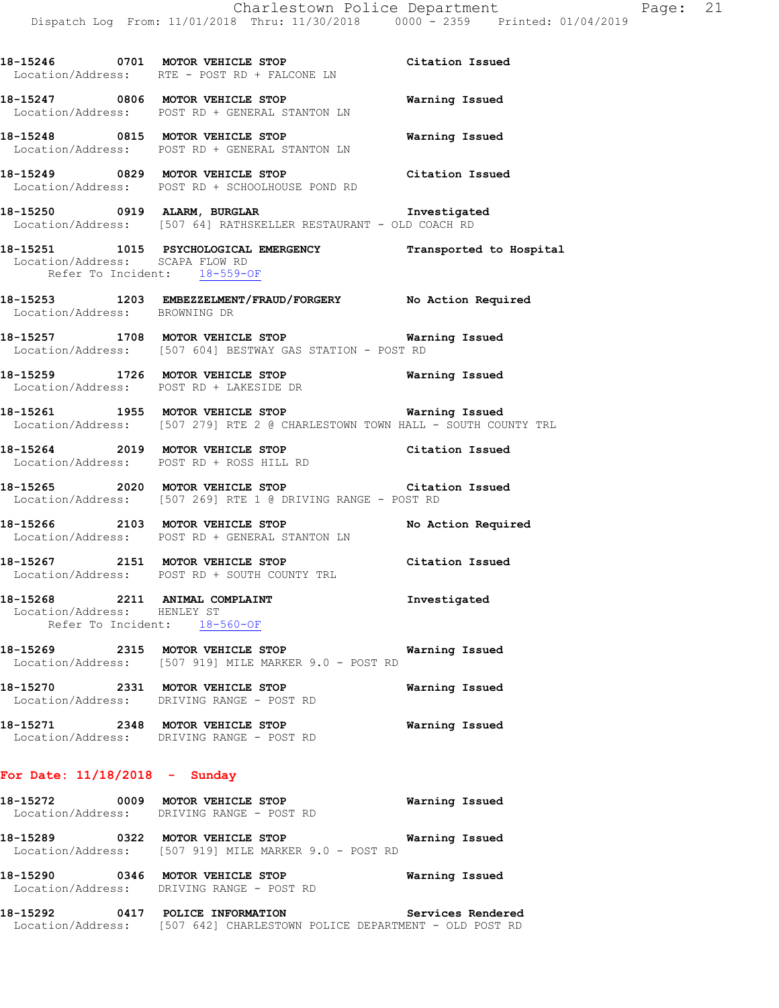**18-15246 0701 MOTOR VEHICLE STOP Citation Issued**  Location/Address: RTE - POST RD + FALCONE LN **18-15247 0806 MOTOR VEHICLE STOP Warning Issued**  Location/Address: POST RD + GENERAL STANTON LN **18-15248 0815 MOTOR VEHICLE STOP Warning Issued**  Location/Address: POST RD + GENERAL STANTON LN **18-15249 0829 MOTOR VEHICLE STOP Citation Issued**  Location/Address: POST RD + SCHOOLHOUSE POND RD **18-15250 0919 ALARM, BURGLAR Investigated**  Location/Address: [507 64] RATHSKELLER RESTAURANT - OLD COACH RD **18-15251 1015 PSYCHOLOGICAL EMERGENCY Transported to Hospital**  Location/Address: SCAPA FLOW RD Refer To Incident: 18-559-OF **18-15253 1203 EMBEZZELMENT/FRAUD/FORGERY No Action Required**  Location/Address: BROWNING DR **18-15257 1708 MOTOR VEHICLE STOP Warning Issued**  Location/Address: [507 604] BESTWAY GAS STATION - POST RD **18-15259 1726 MOTOR VEHICLE STOP Warning Issued**  Location/Address: POST RD + LAKESIDE DR **18-15261 1955 MOTOR VEHICLE STOP Warning Issued**  Location/Address: [507 279] RTE 2 @ CHARLESTOWN TOWN HALL - SOUTH COUNTY TRL **18-15264 2019 MOTOR VEHICLE STOP Citation Issued**  Location/Address: POST RD + ROSS HILL RD **18-15265 2020 MOTOR VEHICLE STOP Citation Issued**  Location/Address: [507 269] RTE 1 @ DRIVING RANGE - POST RD **18-15266 2103 MOTOR VEHICLE STOP No Action Required**  Location/Address: POST RD + GENERAL STANTON LN **18-15267 2151 MOTOR VEHICLE STOP Citation Issued**  Location/Address: POST RD + SOUTH COUNTY TRL **18-15268 2211 ANIMAL COMPLAINT Investigated**  Location/Address: HENLEY ST Refer To Incident: 18-560-OF **18-15269 2315 MOTOR VEHICLE STOP Warning Issued**  Location/Address: [507 919] MILE MARKER 9.0 - POST RD **18-15270 2331 MOTOR VEHICLE STOP Warning Issued**  Location/Address: DRIVING RANGE - POST RD **18-15271 2348 MOTOR VEHICLE STOP Warning Issued**  Location/Address: DRIVING RANGE - POST RD **For Date: 11/18/2018 - Sunday 18-15272 0009 MOTOR VEHICLE STOP Warning Issued**  Location/Address: DRIVING RANGE - POST RD **18-15289 0322 MOTOR VEHICLE STOP Warning Issued**  Location/Address: [507 919] MILE MARKER 9.0 - POST RD

**18-15292 0417 POLICE INFORMATION Services Rendered**  Location/Address: [507 642] CHARLESTOWN POLICE DEPARTMENT - OLD POST RD

**18-15290 0346 MOTOR VEHICLE STOP Warning Issued** 

Location/Address: DRIVING RANGE - POST RD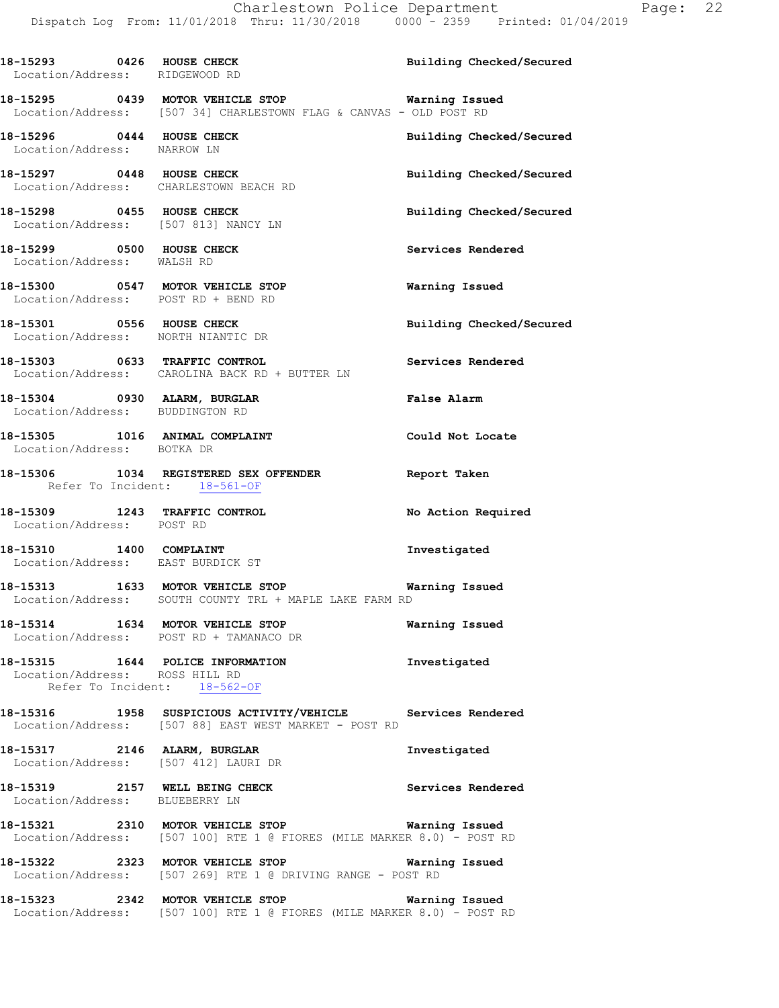18-15293 0426 HOUSE CHECK **Building Checked/Secured**  Location/Address: RIDGEWOOD RD **18-15295 0439 MOTOR VEHICLE STOP Warning Issued**  Location/Address: [507 34] CHARLESTOWN FLAG & CANVAS - OLD POST RD **18-15296 0444 HOUSE CHECK Building Checked/Secured**  Location/Address: NARROW LN **18-15297 0448 HOUSE CHECK Building Checked/Secured**  Location/Address: CHARLESTOWN BEACH RD **18-15298 0455 HOUSE CHECK Building Checked/Secured**  Location/Address: [507 813] NANCY LN 18-15299 **0500 HOUSE CHECK 18-15299 18-15299**  Location/Address: WALSH RD **18-15300 0547 MOTOR VEHICLE STOP Warning Issued**  Location/Address: POST RD + BEND RD **18-15301 0556 HOUSE CHECK Building Checked/Secured**  Location/Address: NORTH NIANTIC DR **18-15303 0633 TRAFFIC CONTROL Services Rendered**  Location/Address: CAROLINA BACK RD + BUTTER LN **18-15304 0930 ALARM, BURGLAR False Alarm**  Location/Address: BUDDINGTON RD **18-15305 1016 ANIMAL COMPLAINT Could Not Locate**  Location/Address: BOTKA DR **18-15306 1034 REGISTERED SEX OFFENDER Report Taken**  Refer To Incident: 18-561-OF **18-15309 1243 TRAFFIC CONTROL No Action Required**  Location/Address: POST RD **18-15310 1400 COMPLAINT Investigated**  Location/Address: EAST BURDICK ST **18-15313 1633 MOTOR VEHICLE STOP Warning Issued**  Location/Address: SOUTH COUNTY TRL + MAPLE LAKE FARM RD **18-15314 1634 MOTOR VEHICLE STOP Warning Issued**  Location/Address: POST RD + TAMANACO DR **18-15315 1644 POLICE INFORMATION Investigated**  Location/Address: ROSS HILL RD Refer To Incident: 18-562-OF **18-15316 1958 SUSPICIOUS ACTIVITY/VEHICLE Services Rendered**  Location/Address: [507 88] EAST WEST MARKET - POST RD **18-15317 2146 ALARM, BURGLAR Investigated**  Location/Address: [507 412] LAURI DR 18-15319 **2157** WELL BEING CHECK **Services** Rendered Location/Address: BLUEBERRY LN **18-15321 2310 MOTOR VEHICLE STOP Warning Issued**  Location/Address: [507 100] RTE 1 @ FIORES (MILE MARKER 8.0) - POST RD **18-15322 2323 MOTOR VEHICLE STOP Warning Issued**  Location/Address: [507 269] RTE 1 @ DRIVING RANGE - POST RD **18-15323 2342 MOTOR VEHICLE STOP Warning Issued** 

Location/Address: [507 100] RTE 1 @ FIORES (MILE MARKER 8.0) - POST RD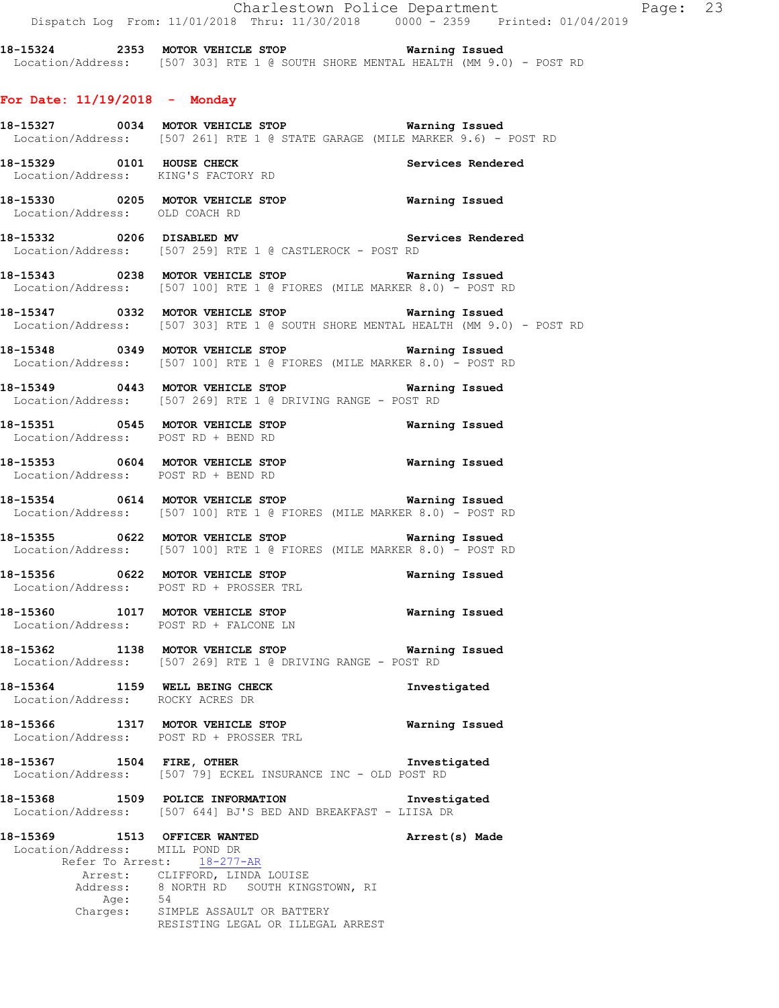Charlestown Police Department Page: 23 Dispatch Log From: 11/01/2018 Thru: 11/30/2018 0000 - 2359 Printed: 01/04/2019

**18-15324 2353 MOTOR VEHICLE STOP Warning Issued**  Location/Address: [507 303] RTE 1 @ SOUTH SHORE MENTAL HEALTH (MM 9.0) - POST RD

#### **For Date: 11/19/2018 - Monday**

**18-15327 0034 MOTOR VEHICLE STOP Warning Issued**  Location/Address: [507 261] RTE 1 @ STATE GARAGE (MILE MARKER 9.6) - POST RD

**18-15329 6101 HOUSE CHECK Services Rendered Services Rendered** Location/Address: KING'S FACTORY RD

**18-15330 0205 MOTOR VEHICLE STOP Warning Issued**  Location/Address: OLD COACH RD

**18-15332 0206 DISABLED MV Services Rendered**  Location/Address: [507 259] RTE 1 @ CASTLEROCK - POST RD

**18-15343 0238 MOTOR VEHICLE STOP Warning Issued**  Location/Address: [507 100] RTE 1 @ FIORES (MILE MARKER 8.0) - POST RD

**18-15347 0332 MOTOR VEHICLE STOP Warning Issued**  Location/Address: [507 303] RTE 1 @ SOUTH SHORE MENTAL HEALTH (MM 9.0) - POST RD

**18-15348 0349 MOTOR VEHICLE STOP Warning Issued**  Location/Address: [507 100] RTE 1 @ FIORES (MILE MARKER 8.0) - POST RD

**18-15349 0443 MOTOR VEHICLE STOP Warning Issued**  Location/Address: [507 269] RTE 1 @ DRIVING RANGE - POST RD

**18-15351 0545 MOTOR VEHICLE STOP Warning Issued**  Location/Address: POST RD + BEND RD

**18-15353 0604 MOTOR VEHICLE STOP Warning Issued**  Location/Address: POST RD + BEND RD

**18-15354 0614 MOTOR VEHICLE STOP Warning Issued**  Location/Address: [507 100] RTE 1 @ FIORES (MILE MARKER 8.0) - POST RD

**18-15355 0622 MOTOR VEHICLE STOP Warning Issued**  Location/Address: [507 100] RTE 1 @ FIORES (MILE MARKER 8.0) - POST RD

**18-15356 0622 MOTOR VEHICLE STOP Warning Issued**  Location/Address: POST RD + PROSSER TRL

**18-15360 1017 MOTOR VEHICLE STOP Warning Issued**  Location/Address: POST RD + FALCONE LN

**18-15362 1138 MOTOR VEHICLE STOP Warning Issued**  Location/Address: [507 269] RTE 1 @ DRIVING RANGE - POST RD

**18-15364 1159 WELL BEING CHECK Investigated**  Location/Address: ROCKY ACRES DR

**18-15366 1317 MOTOR VEHICLE STOP Warning Issued**  Location/Address: POST RD + PROSSER TRL

**18-15367 1504 FIRE, OTHER Investigated**  Location/Address: [507 79] ECKEL INSURANCE INC - OLD POST RD

**18-15368 1509 POLICE INFORMATION Investigated**  Location/Address: [507 644] BJ'S BED AND BREAKFAST - LIISA DR

**18-15369 1513 OFFICER WANTED Arrest(s) Made**  Location/Address: MILL POND DR Refer To Arrest: 18-277-AR Arrest: CLIFFORD, LINDA LOUISE<br>Address: 8 NORTH RD SOUTH KING 8 NORTH RD SOUTH KINGSTOWN, RI Age: 54 Charges: SIMPLE ASSAULT OR BATTERY RESISTING LEGAL OR ILLEGAL ARREST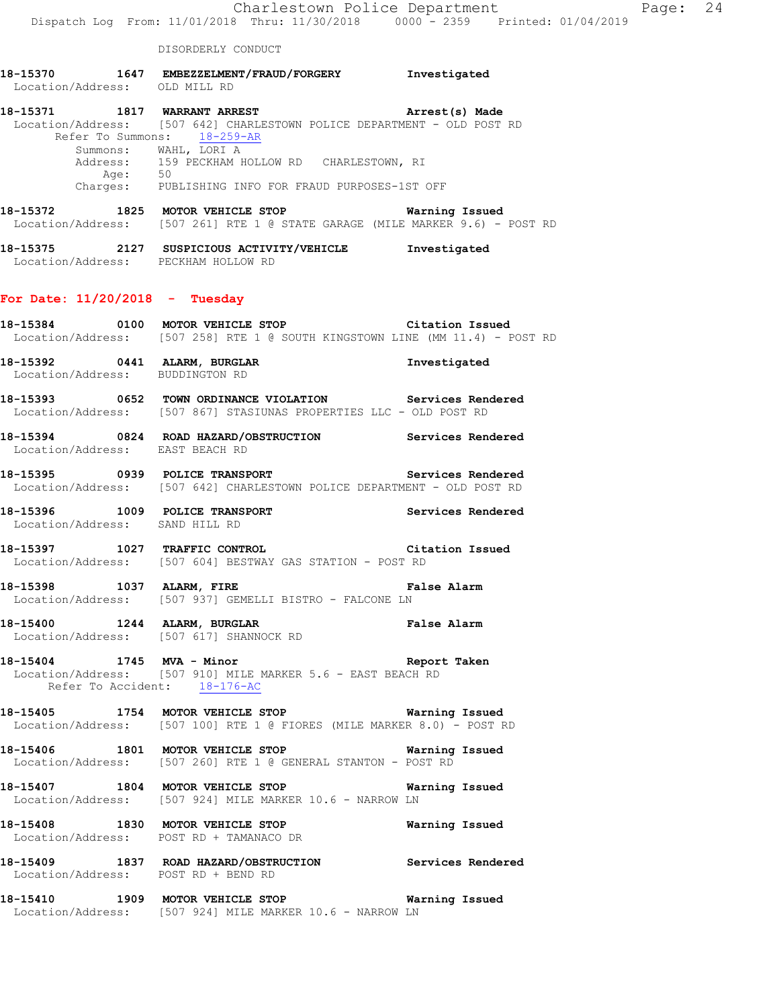| 18-15370          | 1647 | EMBEZZELMENT/FRAUD/FORGERY | Investigated |
|-------------------|------|----------------------------|--------------|
| Location/Address: |      | OLD MILL RD                |              |

| 18-15371<br>1817 | WARRANT ARREST                                                          | Arrest(s) Made |  |
|------------------|-------------------------------------------------------------------------|----------------|--|
|                  | Location/Address: [507 642] CHARLESTOWN POLICE DEPARTMENT - OLD POST RD |                |  |
|                  | Refer To Summons: 18-259-AR                                             |                |  |
|                  | Summons: WAHL, LORI A                                                   |                |  |
|                  | Address: 159 PECKHAM HOLLOW RD CHARLESTOWN, RI                          |                |  |
| Age:             | 50                                                                      |                |  |
| Charges:         | PUBLISHING INFO FOR FRAUD PURPOSES-1ST OFF                              |                |  |

**18-15372 1825 MOTOR VEHICLE STOP Warning Issued**  Location/Address: [507 261] RTE 1 @ STATE GARAGE (MILE MARKER 9.6) - POST RD

**18-15375 2127 SUSPICIOUS ACTIVITY/VEHICLE Investigated**  Location/Address: PECKHAM HOLLOW RD

## **For Date: 11/20/2018 - Tuesday**

**18-15384 0100 MOTOR VEHICLE STOP Citation Issued**  Location/Address: [507 258] RTE 1 @ SOUTH KINGSTOWN LINE (MM 11.4) - POST RD **18-15392 0441 ALARM, BURGLAR Investigated**  Location/Address: BUDDINGTON RD **18-15393 0652 TOWN ORDINANCE VIOLATION Services Rendered**  Location/Address: [507 867] STASIUNAS PROPERTIES LLC - OLD POST RD **18-15394 0824 ROAD HAZARD/OBSTRUCTION Services Rendered**  Location/Address: EAST BEACH RD **18-15395 0939 POLICE TRANSPORT Services Rendered**  Location/Address: [507 642] CHARLESTOWN POLICE DEPARTMENT - OLD POST RD **18-15396 1009 POLICE TRANSPORT Services Rendered**  Location/Address: SAND HILL RD **18-15397 1027 TRAFFIC CONTROL Citation Issued**  Location/Address: [507 604] BESTWAY GAS STATION - POST RD **18-15398 1037 ALARM, FIRE False Alarm**  Location/Address: [507 937] GEMELLI BISTRO - FALCONE LN **18-15400 1244 ALARM, BURGLAR False Alarm**  Location/Address: [507 617] SHANNOCK RD **18-15404 1745 MVA - Minor Report Taken**  Location/Address: [507 910] MILE MARKER 5.6 - EAST BEACH RD Refer To Accident: 18-176-AC **18-15405 1754 MOTOR VEHICLE STOP Warning Issued**  Location/Address: [507 100] RTE 1 @ FIORES (MILE MARKER 8.0) - POST RD **18-15406 1801 MOTOR VEHICLE STOP Warning Issued**  Location/Address: [507 260] RTE 1 @ GENERAL STANTON - POST RD **18-15407 1804 MOTOR VEHICLE STOP Warning Issued**  Location/Address: [507 924] MILE MARKER 10.6 - NARROW LN **18-15408 1830 MOTOR VEHICLE STOP Warning Issued**  Location/Address: POST RD + TAMANACO DR **18-15409 1837 ROAD HAZARD/OBSTRUCTION Services Rendered** 

Location/Address: POST RD + BEND RD

**18-15410 1909 MOTOR VEHICLE STOP Warning Issued**  Location/Address: [507 924] MILE MARKER 10.6 - NARROW LN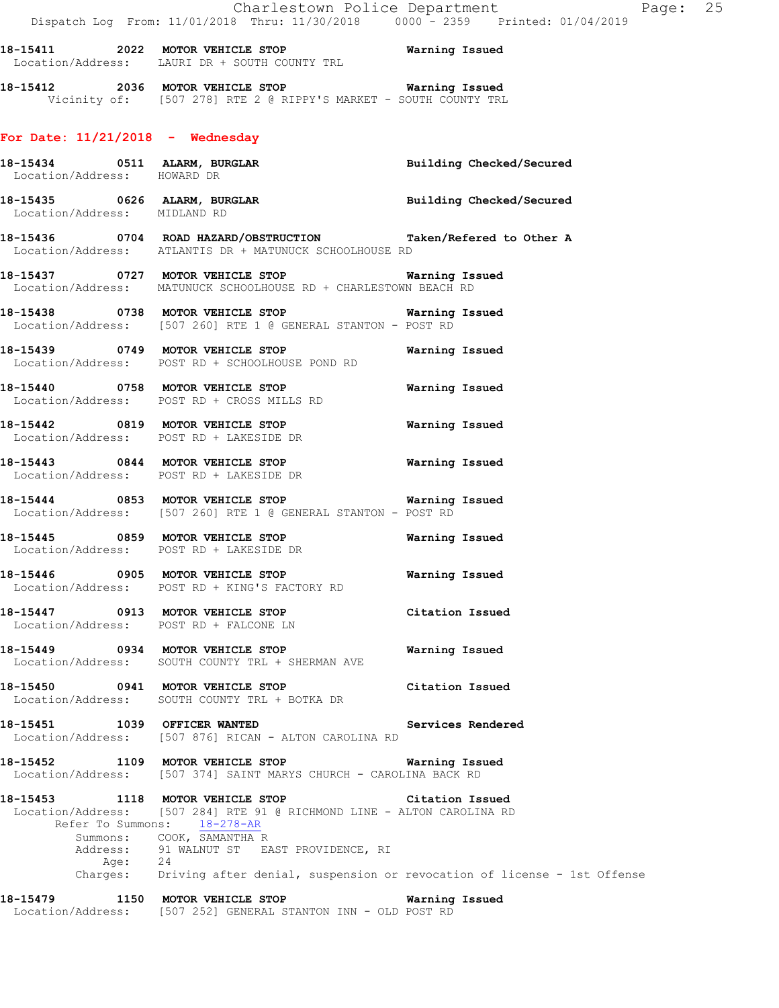**18-15411 2022 MOTOR VEHICLE STOP Warning Issued**  Location/Address: LAURI DR + SOUTH COUNTY TRL

**18-15412 2036 MOTOR VEHICLE STOP Warning Issued**  Vicinity of: [507 278] RTE 2 @ RIPPY'S MARKET - SOUTH COUNTY TRL

## **For Date: 11/21/2018 - Wednesday**

| Location/Address: HOWARD DR  |                                                                                                                                                                                                                                                                                                  | Building Checked/Secured |
|------------------------------|--------------------------------------------------------------------------------------------------------------------------------------------------------------------------------------------------------------------------------------------------------------------------------------------------|--------------------------|
| Location/Address: MIDLAND RD | 18-15435 0626 ALARM, BURGLAR <b>Example 18 and Solution Checked/Secured</b>                                                                                                                                                                                                                      |                          |
|                              | 18-15436      0704 ROAD HAZARD/OBSTRUCTION       Taken/Refered to Other A<br>Location/Address: ATLANTIS DR + MATUNUCK SCHOOLHOUSE RD                                                                                                                                                             |                          |
|                              | 18-15437 0727 MOTOR VEHICLE STOP 6 Warning Issued<br>Location/Address: MATUNUCK SCHOOLHOUSE RD + CHARLESTOWN BEACH RD                                                                                                                                                                            |                          |
|                              |                                                                                                                                                                                                                                                                                                  |                          |
|                              | 18-15439 0749 MOTOR VEHICLE STOP<br>Location/Address: POST RD + SCHOOLHOUSE POND RD                                                                                                                                                                                                              | Warning Issued           |
|                              | 18-15440 0758 MOTOR VEHICLE STOP<br>Location/Address: POST RD + CROSS MILLS RD                                                                                                                                                                                                                   | Warning Issued           |
|                              | 18-15442 0819 MOTOR VEHICLE STOP <b>Warning Issued</b><br>Location/Address: POST RD + LAKESIDE DR                                                                                                                                                                                                |                          |
|                              | 18-15443 0844 MOTOR VEHICLE STOP <b>Warning Issued</b><br>Location/Address: POST RD + LAKESIDE DR                                                                                                                                                                                                |                          |
|                              | 18-15444 0853 MOTOR VEHICLE STOP <b>Warning Issued</b><br>Location/Address: [507 260] RTE 1 @ GENERAL STANTON - POST RD                                                                                                                                                                          |                          |
|                              | Location/Address: POST RD + LAKESIDE DR                                                                                                                                                                                                                                                          |                          |
|                              | Location/Address: POST RD + KING'S FACTORY RD                                                                                                                                                                                                                                                    |                          |
|                              | 18-15447 0913 MOTOR VEHICLE STOP Citation Issued<br>Location/Address: POST RD + FALCONE LN                                                                                                                                                                                                       |                          |
|                              | Location/Address: SOUTH COUNTY TRL + SHERMAN AVE                                                                                                                                                                                                                                                 |                          |
|                              | 18-15450 0941 MOTOR VEHICLE STOP<br>Location/Address: SOUTH COUNTY TRL + BOTKA DR                                                                                                                                                                                                                | Citation Issued          |
| 18-15451 1039 OFFICER WANTED | Location/Address: [507 876] RICAN - ALTON CAROLINA RD                                                                                                                                                                                                                                            | Services Rendered        |
|                              | 18-15452 1109 MOTOR VEHICLE STOP<br>Location/Address: [507 374] SAINT MARYS CHURCH - CAROLINA BACK RD                                                                                                                                                                                            | Warning Issued           |
| Refer To Summons:            | 18-15453 1118 MOTOR VEHICLE STOP<br>Location/Address: [507 284] RTE 91 @ RICHMOND LINE - ALTON CAROLINA RD<br>18-278-AR<br>Summons: COOK, SAMANTHA R<br>Address: 91 WALNUT ST EAST PROVIDENCE, RI<br>Age: 24<br>Charges: Driving after denial, suspension or revocation of license - 1st Offense | Citation Issued          |
|                              | 18-15479 1150 MOTOR VEHICLE STOP                                                                                                                                                                                                                                                                 | Warning Issued           |
|                              | Location/Address: [507 252] GENERAL STANTON INN - OLD POST RD                                                                                                                                                                                                                                    |                          |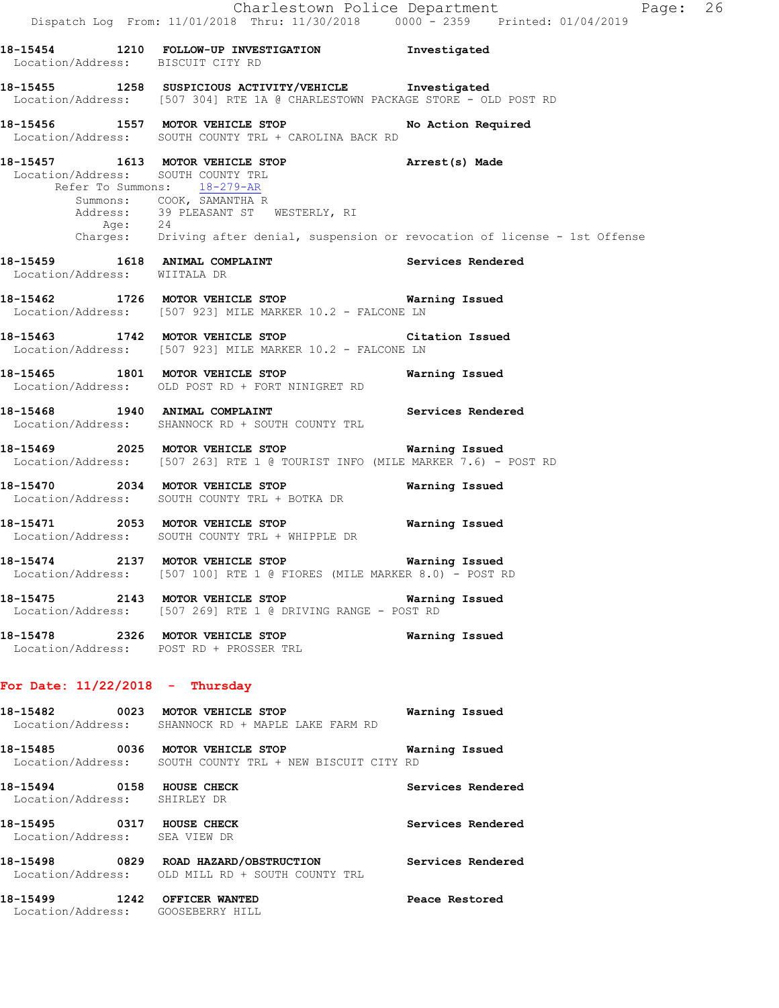|                               | Dispatch Log From: 11/01/2018 Thru: 11/30/2018 0000 - 2359 Printed: 01/04/2019                                                                                                                                                                                                                  | Charlestown Police Department<br>Page: 26 |
|-------------------------------|-------------------------------------------------------------------------------------------------------------------------------------------------------------------------------------------------------------------------------------------------------------------------------------------------|-------------------------------------------|
|                               | 18-15454 1210 FOLLOW-UP INVESTIGATION 1nvestigated<br>Location/Address: BISCUIT CITY RD                                                                                                                                                                                                         |                                           |
|                               | 18-15455 1258 SUSPICIOUS ACTIVITY/VEHICLE Investigated<br>Location/Address: [507 304] RTE 1A @ CHARLESTOWN PACKAGE STORE - OLD POST RD                                                                                                                                                          |                                           |
|                               | 18-15456 1557 MOTOR VEHICLE STOP No Action Required<br>Location/Address: SOUTH COUNTY TRL + CAROLINA BACK RD                                                                                                                                                                                    |                                           |
|                               | 18-15457 1613 MOTOR VEHICLE STOP <b>Arrest(s)</b> Made<br>Location/Address: SOUTH COUNTY TRL<br>Refer To Summons: 18-279-AR<br>Summons: COOK, SAMANTHA R<br>Address: 39 PLEASANT ST WESTERLY, RI<br>Age: 24<br>Charges: Driving after denial, suspension or revocation of license - 1st Offense |                                           |
| Location/Address: WIITALA DR  | 18-15459 1618 ANIMAL COMPLAINT 1990 18 Services Rendered                                                                                                                                                                                                                                        |                                           |
|                               | 18-15462 1726 MOTOR VEHICLE STOP <b>Warning Issued</b><br>Location/Address: [507 923] MILE MARKER 10.2 - FALCONE LN                                                                                                                                                                             |                                           |
|                               | 18-15463 1742 MOTOR VEHICLE STOP Citation Issued<br>Location/Address: [507 923] MILE MARKER 10.2 - FALCONE LN                                                                                                                                                                                   |                                           |
|                               | 18-15465 1801 MOTOR VEHICLE STOP <b>Warning Issued</b><br>Location/Address: OLD POST RD + FORT NINIGRET RD                                                                                                                                                                                      |                                           |
|                               | 18-15468 1940 ANIMAL COMPLAINT Services Rendered<br>Location/Address: SHANNOCK RD + SOUTH COUNTY TRL                                                                                                                                                                                            |                                           |
|                               | 18-15469 2025 MOTOR VEHICLE STOP <b>Warning Issued</b><br>Location/Address: [507 263] RTE 1 @ TOURIST INFO (MILE MARKER 7.6) - POST RD                                                                                                                                                          |                                           |
|                               | 18-15470 2034 MOTOR VEHICLE STOP<br>Location/Address: SOUTH COUNTY TRL + BOTKA DR                                                                                                                                                                                                               | Warning Issued                            |
|                               | 18-15471 2053 MOTOR VEHICLE STOP 6 Warning Issued<br>Location/Address: SOUTH COUNTY TRL + WHIPPLE DR                                                                                                                                                                                            |                                           |
|                               | 18-15474 2137 MOTOR VEHICLE STOP<br>Location/Address: [507 100] RTE 1 @ FIORES (MILE MARKER 8.0) - POST RD                                                                                                                                                                                      | Warning Issued                            |
|                               | 18-15475 2143 MOTOR VEHICLE STOP 6 Warning Issued<br>Location/Address: [507 269] RTE 1 @ DRIVING RANGE - POST RD                                                                                                                                                                                |                                           |
|                               | 18-15478 2326 MOTOR VEHICLE STOP<br>Location/Address: POST RD + PROSSER TRL                                                                                                                                                                                                                     | Warning Issued                            |
|                               | For Date: $11/22/2018$ - Thursday                                                                                                                                                                                                                                                               |                                           |
|                               | 18-15482 0023 MOTOR VEHICLE STOP<br>Location/Address: SHANNOCK RD + MAPLE LAKE FARM RD                                                                                                                                                                                                          | Warning Issued                            |
|                               | 18-15485 0036 MOTOR VEHICLE STOP <b>Warning Issued</b><br>Location/Address: SOUTH COUNTY TRL + NEW BISCUIT CITY RD                                                                                                                                                                              |                                           |
| Location/Address: SHIRLEY DR  | 18-15494 0158 HOUSE CHECK                                                                                                                                                                                                                                                                       | Services Rendered                         |
| Location/Address: SEA VIEW DR | 18-15495 0317 HOUSE CHECK                                                                                                                                                                                                                                                                       | Services Rendered                         |
|                               | 18-15498 0829 ROAD HAZARD/OBSTRUCTION Services Rendered<br>Location/Address: OLD MILL RD + SOUTH COUNTY TRL                                                                                                                                                                                     |                                           |
|                               | 18-15499 1242 OFFICER WANTED<br>Location/Address: GOOSEBERRY HILL                                                                                                                                                                                                                               | Peace Restored                            |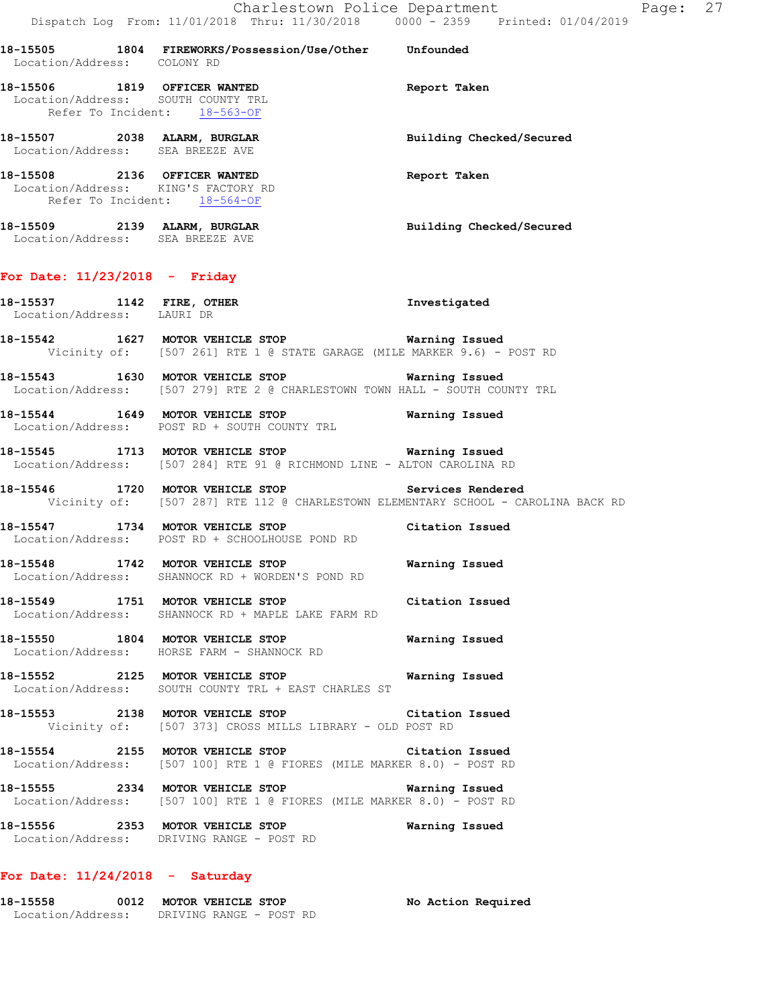|                                  | Charlestown Police Department<br>Dispatch Log From: 11/01/2018 Thru: 11/30/2018 0000 - 2359 Printed: 01/04/2019                         |                          |
|----------------------------------|-----------------------------------------------------------------------------------------------------------------------------------------|--------------------------|
|                                  | 18-15505 1804 FIREWORKS/Possession/Use/Other Unfounded<br>Location/Address: COLONYRD                                                    |                          |
|                                  | 18-15506 1819 OFFICER WANTED<br>Location/Address: SOUTH COUNTY TRL<br>Refer To Incident: 18-563-OF                                      | Report Taken             |
|                                  | 18-15507 2038 ALARM, BURGLAR<br>Location/Address: SEA BREEZE AVE                                                                        | Building Checked/Secured |
|                                  | 18-15508 2136 OFFICER WANTED<br>Location/Address: KING'S FACTORY RD<br>Refer To Incident: 18-564-OF                                     | Report Taken             |
| Location/Address: SEA BREEZE AVE | 18-15509 2139 ALARM, BURGLAR                                                                                                            | Building Checked/Secured |
| For Date: $11/23/2018$ - Friday  |                                                                                                                                         |                          |
|                                  | 18-15537 1142 FIRE, OTHER<br>Location/Address: LAURI DR                                                                                 | Investigated             |
|                                  | 18-15542 1627 MOTOR VEHICLE STOP Warning Issued<br>Vicinity of: [507 261] RTE 1 @ STATE GARAGE (MILE MARKER 9.6) - POST RD              |                          |
|                                  | 18-15543 1630 MOTOR VEHICLE STOP Warning Issued<br>Location/Address: [507 279] RTE 2 @ CHARLESTOWN TOWN HALL - SOUTH COUNTY TRL         |                          |
|                                  | 18-15544 1649 MOTOR VEHICLE STOP Warning Issued<br>Location/Address: POST RD + SOUTH COUNTY TRL                                         |                          |
|                                  | 18-15545 1713 MOTOR VEHICLE STOP 6 Warning Issued<br>Location/Address: [507 284] RTE 91 @ RICHMOND LINE - ALTON CAROLINA RD             |                          |
|                                  | 18-15546 1720 MOTOR VEHICLE STOP Services Rendered<br>Vicinity of: [507 287] RTE 112 @ CHARLESTOWN ELEMENTARY SCHOOL - CAROLINA BACK RD |                          |
|                                  | 18-15547 1734 MOTOR VEHICLE STOP Citation Issued<br>Location/Address: POST RD + SCHOOLHOUSE POND RD                                     |                          |
| Location/Address:                | 18-15548 1742 MOTOR VEHICLE STOP <b>WATNING ISSUED</b><br>SHANNOCK RD + WORDEN'S POND RD                                                |                          |
|                                  | 18-15549 1751 MOTOR VEHICLE STOP<br>Location/Address: SHANNOCK RD + MAPLE LAKE FARM RD                                                  | Citation Issued          |
|                                  | 18-15550 1804 MOTOR VEHICLE STOP<br>Location/Address: HORSE FARM - SHANNOCK RD                                                          | Warning Issued           |
| 18-15552                         | 2125 MOTOR VEHICLE STOP<br>Location/Address: SOUTH COUNTY TRL + EAST CHARLES ST                                                         | Warning Issued           |

**18-15553 2138 MOTOR VEHICLE STOP Citation Issued**  Vicinity of: [507 373] CROSS MILLS LIBRARY - OLD POST RD

**18-15554 2155 MOTOR VEHICLE STOP Citation Issued**  Location/Address: [507 100] RTE 1 @ FIORES (MILE MARKER 8.0) - POST RD

**18-15555 2334 MOTOR VEHICLE STOP Warning Issued**  Location/Address: [507 100] RTE 1 @ FIORES (MILE MARKER 8.0) - POST RD

**18-15556 2353 MOTOR VEHICLE STOP Warning Issued**  Location/Address: DRIVING RANGE - POST RD

## **For Date: 11/24/2018 - Saturday**

**18-15558 0012 MOTOR VEHICLE STOP No Action Required**  Location/Address: DRIVING RANGE - POST RD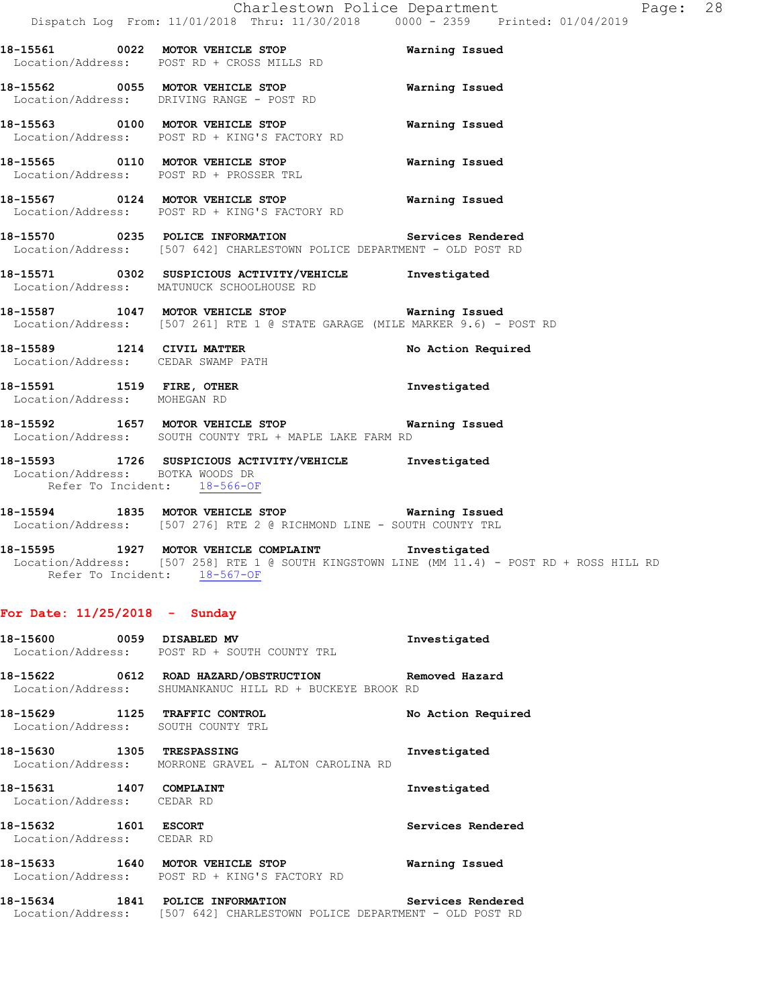Location/Address: POST RD + CROSS MILLS RD **18-15562 0055 MOTOR VEHICLE STOP Warning Issued**  Location/Address: DRIVING RANGE - POST RD **18-15563 0100 MOTOR VEHICLE STOP Warning Issued**  Location/Address: POST RD + KING'S FACTORY RD

**18-15561 0022 MOTOR VEHICLE STOP Warning Issued** 

**18-15565 0110 MOTOR VEHICLE STOP Warning Issued**  Location/Address: POST RD + PROSSER TRL

**18-15567 0124 MOTOR VEHICLE STOP Warning Issued**  Location/Address: POST RD + KING'S FACTORY RD

**18-15570 0235 POLICE INFORMATION Services Rendered**  Location/Address: [507 642] CHARLESTOWN POLICE DEPARTMENT - OLD POST RD

**18-15571 0302 SUSPICIOUS ACTIVITY/VEHICLE Investigated**  Location/Address: MATUNUCK SCHOOLHOUSE RD

**18-15587 1047 MOTOR VEHICLE STOP Warning Issued**  Location/Address: [507 261] RTE 1 @ STATE GARAGE (MILE MARKER 9.6) - POST RD

18-15589 1214 CIVIL MATTER **18-15589** No Action Required Location/Address: CEDAR SWAMP PATH

**18-15591 1519 FIRE, OTHER Investigated**  Location/Address: MOHEGAN RD

**18-15592 1657 MOTOR VEHICLE STOP Warning Issued**  Location/Address: SOUTH COUNTY TRL + MAPLE LAKE FARM RD

**18-15593 1726 SUSPICIOUS ACTIVITY/VEHICLE Investigated**  Location/Address: BOTKA WOODS DR Refer To Incident: 18-566-OF

**18-15594 1835 MOTOR VEHICLE STOP Warning Issued**  Location/Address: [507 276] RTE 2 @ RICHMOND LINE - SOUTH COUNTY TRL

**18-15595 1927 MOTOR VEHICLE COMPLAINT Investigated**  Location/Address: [507 258] RTE 1 @ SOUTH KINGSTOWN LINE (MM 11.4) - POST RD + ROSS HILL RD Refer To Incident: 18-567-OF

### **For Date: 11/25/2018 - Sunday**

| 18-15600 0059 DISABLED MV  | Location/Address: POST RD + SOUTH COUNTY TRL                                                                | Investigated       |
|----------------------------|-------------------------------------------------------------------------------------------------------------|--------------------|
|                            | Location/Address: SHUMANKANUC HILL RD + BUCKEYE BROOK RD                                                    |                    |
|                            | 18-15629 1125 TRAFFIC CONTROL<br>Location/Address: SOUTH COUNTY TRL                                         | No Action Required |
| 18-15630 1305 TRESPASSING  | Location/Address: MORRONE GRAVEL - ALTON CAROLINA RD                                                        | Investigated       |
| Location/Address: CEDAR RD |                                                                                                             | Investigated       |
| Location/Address: CEDAR RD |                                                                                                             | Services Rendered  |
|                            | 18-15633 1640 MOTOR VEHICLE STOP<br>Location/Address: POST RD + KING'S FACTORY RD                           | Warning Issued     |
|                            | 18-15634 1841 POLICE INFORMATION<br>Location/Address: [507 642] CHARLESTOWN POLICE DEPARTMENT - OLD POST RD | Services Rendered  |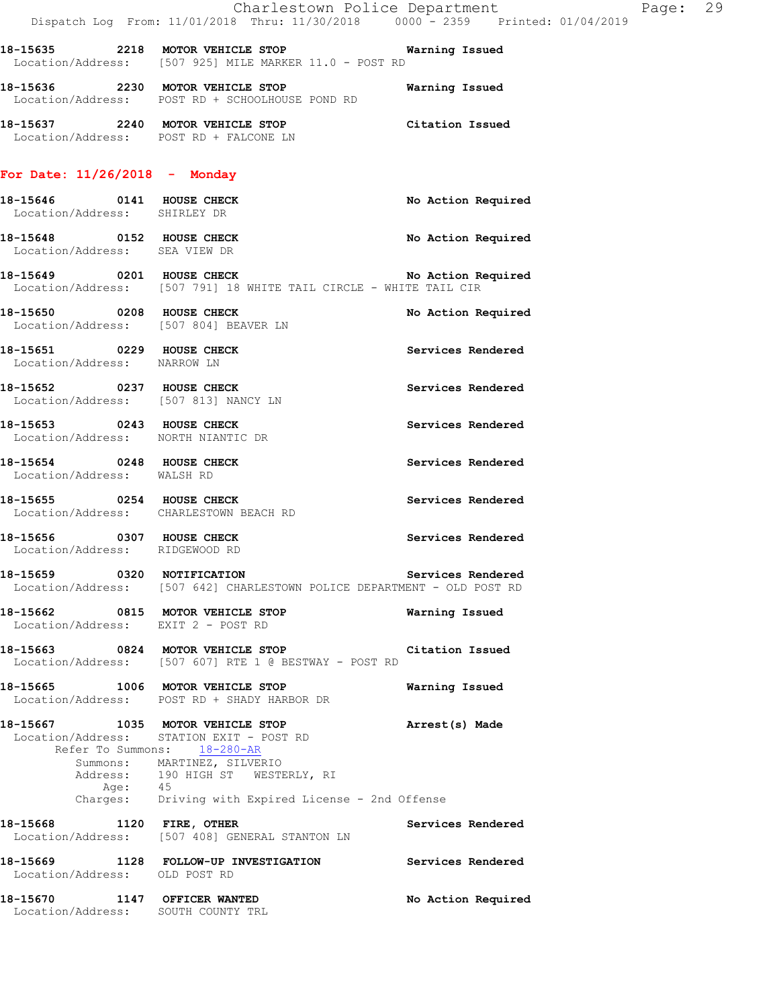|                                                                    | Dispatch Log From: 11/01/2018 Thru: 11/30/2018 0000 - 2359 Printed: 01/04/2019                                                                                                  | Charlestown Police Department | Page: 29 |  |
|--------------------------------------------------------------------|---------------------------------------------------------------------------------------------------------------------------------------------------------------------------------|-------------------------------|----------|--|
|                                                                    | 18-15635 2218 MOTOR VEHICLE STOP 6 Warning Issued<br>Location/Address: [507 925] MILE MARKER 11.0 - POST RD                                                                     |                               |          |  |
|                                                                    | 18-15636 2230 MOTOR VEHICLE STOP<br>Location/Address: POST RD + SCHOOLHOUSE POND RD                                                                                             | Warning Issued                |          |  |
|                                                                    | 18-15637 2240 MOTOR VEHICLE STOP Citation Issued<br>Location/Address: POST RD + FALCONE LN                                                                                      |                               |          |  |
| For Date: $11/26/2018$ - Monday                                    |                                                                                                                                                                                 |                               |          |  |
| 18-15646 0141 HOUSE CHECK<br>Location/Address: SHIRLEY DR          |                                                                                                                                                                                 | No Action Required            |          |  |
| 18-15648 0152 HOUSE CHECK<br>Location/Address: SEA VIEW DR         |                                                                                                                                                                                 | No Action Required            |          |  |
|                                                                    | 18-15649 0201 HOUSE CHECK No Action Required<br>Location/Address: [507 791] 18 WHITE TAIL CIRCLE - WHITE TAIL CIR                                                               |                               |          |  |
| 18-15650 0208 HOUSE CHECK                                          | Location/Address: [507 804] BEAVER LN                                                                                                                                           | No Action Required            |          |  |
| 18-15651 0229 HOUSE CHECK<br>Location/Address: NARROW LN           |                                                                                                                                                                                 | Services Rendered             |          |  |
| Location/Address: [507 813] NANCY LN                               | 18-15652 0237 HOUSE CHECK                                                                                                                                                       | Services Rendered             |          |  |
| 18-15653 0243 HOUSE CHECK<br>Location/Address: NORTH NIANTIC DR    |                                                                                                                                                                                 | Services Rendered             |          |  |
| 18-15654 0248 HOUSE CHECK<br>Location/Address: WALSH RD            |                                                                                                                                                                                 | Services Rendered             |          |  |
| Location/Address: CHARLESTOWN BEACH RD                             | 18-15655 0254 HOUSE CHECK                                                                                                                                                       | Services Rendered             |          |  |
| 18-15656 0307 HOUSE CHECK<br>Location/Address: RIDGEWOOD RD        |                                                                                                                                                                                 | Services Rendered             |          |  |
| 18-15659 0320 NOTIFICATION                                         | Location/Address: [507 642] CHARLESTOWN POLICE DEPARTMENT - OLD POST RD                                                                                                         | Services Rendered             |          |  |
| Location/Address: EXIT 2 - POST RD                                 | 18-15662 0815 MOTOR VEHICLE STOP                                                                                                                                                | Warning Issued                |          |  |
|                                                                    | 18-15663 0824 MOTOR VEHICLE STOP Citation Issued<br>Location/Address: [507 607] RTE 1 @ BESTWAY - POST RD                                                                       |                               |          |  |
|                                                                    | 18-15665 1006 MOTOR VEHICLE STOP<br>Location/Address: POST RD + SHADY HARBOR DR                                                                                                 | Warning Issued                |          |  |
|                                                                    | 18-15667 1035 MOTOR VEHICLE STOP<br>Location/Address: STATION EXIT - POST RD<br>Refer To Summons: 18-280-AR<br>Summons: MARTINEZ, SILVERIO<br>Address: 190 HIGH ST WESTERLY, RI | Arrest(s) Made                |          |  |
|                                                                    | Age: 45<br>Charges: Driving with Expired License - 2nd Offense                                                                                                                  |                               |          |  |
| 18-15668 1120 FIRE, OTHER                                          | Location/Address: [507 408] GENERAL STANTON LN                                                                                                                                  | Services Rendered             |          |  |
| Location/Address: OLD POST RD                                      | 18-15669 1128 FOLLOW-UP INVESTIGATION Services Rendered                                                                                                                         |                               |          |  |
| 18-15670 1147 OFFICER WANTED<br>Location/Address: SOUTH COUNTY TRL |                                                                                                                                                                                 | No Action Required            |          |  |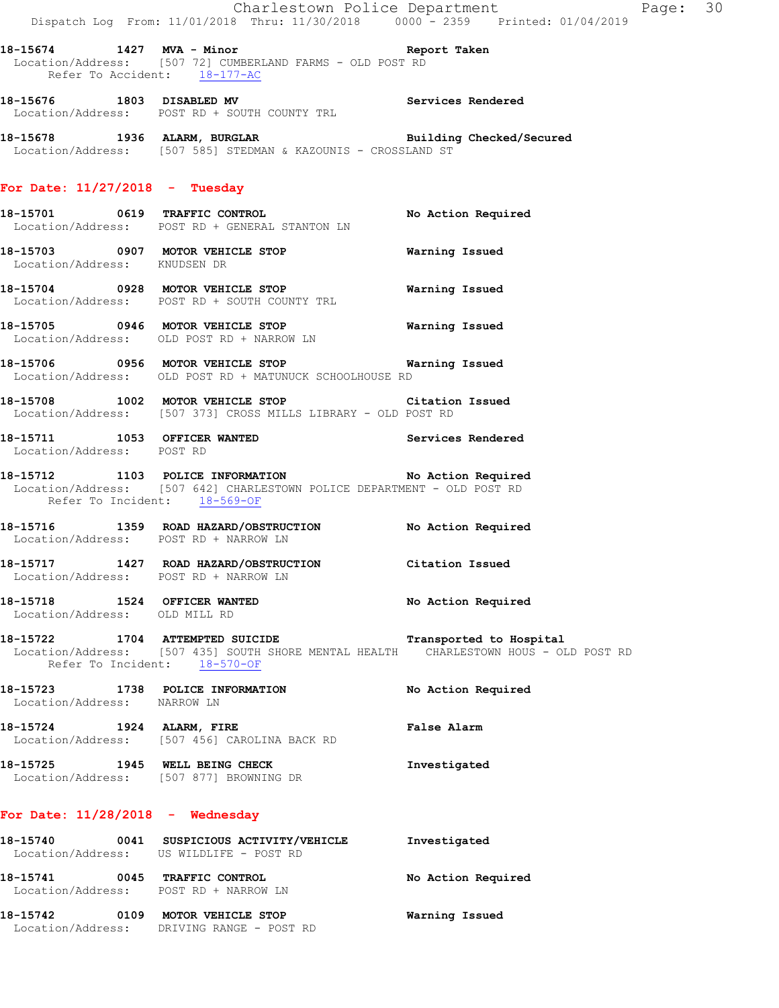|                                  | Dispatch Log From: 11/01/2018 Thru: 11/30/2018 0000 - 2359 Printed: 01/04/2019                                                                                                                                               | Charlestown Police Department<br>Page: 30 |  |
|----------------------------------|------------------------------------------------------------------------------------------------------------------------------------------------------------------------------------------------------------------------------|-------------------------------------------|--|
|                                  | 18-15674 1427 MVA - Minor <b>1888</b> Report Taken<br>Location/Address: [507 72] CUMBERLAND FARMS - OLD POST RD<br>Refer To Accident: 18-177-AC                                                                              |                                           |  |
|                                  | 18-15676 1803 DISABLED MV <b>Services Rendered</b><br>Location/Address: POST RD + SOUTH COUNTY TRL                                                                                                                           |                                           |  |
|                                  | 18-15678 1936 ALARM, BURGLAR Building Checked/Secured Location/Address: [507 585] STEDMAN & KAZOUNIS - CROSSLAND ST                                                                                                          |                                           |  |
| For Date: $11/27/2018$ - Tuesday |                                                                                                                                                                                                                              |                                           |  |
|                                  | 18-15701 0619 TRAFFIC CONTROL<br>Location/Address: POST RD + GENERAL STANTON LN                                                                                                                                              | No Action Required                        |  |
| Location/Address: KNUDSEN DR     | 18-15703 0907 MOTOR VEHICLE STOP <b>Warning Issued</b>                                                                                                                                                                       |                                           |  |
|                                  | 18-15704 0928 MOTOR VEHICLE STOP<br>Location/Address: POST RD + SOUTH COUNTY TRL                                                                                                                                             | Warning Issued                            |  |
|                                  | 18-15705 0946 MOTOR VEHICLE STOP 6 Warning Issued<br>Location/Address: OLD POST RD + NARROW LN                                                                                                                               |                                           |  |
|                                  | 18-15706 0956 MOTOR VEHICLE STOP <b>Warning Issued</b><br>Location/Address: OLD POST RD + MATUNUCK SCHOOLHOUSE RD                                                                                                            |                                           |  |
|                                  | 18-15708 1002 MOTOR VEHICLE STOP Citation Issued<br>Location/Address: [507 373] CROSS MILLS LIBRARY - OLD POST RD                                                                                                            |                                           |  |
| Location/Address: POST RD        | 18-15711 1053 OFFICER WANTED                                                                                                                                                                                                 | Services Rendered                         |  |
|                                  | 18-15712 1103 POLICE INFORMATION No Action Required<br>Location/Address: [507 642] CHARLESTOWN POLICE DEPARTMENT - OLD POST RD<br>Refer To Incident: 18-569-OF                                                               |                                           |  |
|                                  | 18-15716 1359 ROAD HAZARD/OBSTRUCTION No Action Required<br>Location/Address: POST RD + NARROW LN                                                                                                                            |                                           |  |
|                                  | 18-15717 1427 ROAD HAZARD/OBSTRUCTION Citation Issued<br>Location/Address: POST RD + NARROW LN                                                                                                                               |                                           |  |
| Location/Address: OLD MILL RD    | 18-15718 1524 OFFICER WANTED                                                                                                                                                                                                 | No Action Required                        |  |
|                                  | 18-15722 1704 ATTEMPTED SUICIDE TRANSPORTED TO TRANSFORM TABOR TRANSPORTED TRANSPORTED TRANSPORTED T<br>Location/Address: [507 435] SOUTH SHORE MENTAL HEALTH CHARLESTOWN HOUS - OLD POST RD<br>Refer To Incident: 18-570-OF |                                           |  |
| Location/Address: NARROW LN      | 18-15723 1738 POLICE INFORMATION                                                                                                                                                                                             | No Action Required                        |  |
|                                  | 18-15724 1924 ALARM, FIRE<br>Location/Address: [507 456] CAROLINA BACK RD                                                                                                                                                    | False Alarm                               |  |
|                                  | 18-15725 1945 WELL BEING CHECK<br>Location/Address: [507 877] BROWNING DR                                                                                                                                                    | Investigated                              |  |
| For Date: 11/28/2018 - Wednesday |                                                                                                                                                                                                                              |                                           |  |
|                                  | Location/Address: US WILDLIFE - POST RD                                                                                                                                                                                      | Investigated                              |  |
|                                  | 18-15741 0045 TRAFFIC CONTROL<br>Location/Address: POST RD + NARROW LN                                                                                                                                                       | No Action Required                        |  |
|                                  |                                                                                                                                                                                                                              |                                           |  |

**18-15742 0109 MOTOR VEHICLE STOP Warning Issued** 

Location/Address: DRIVING RANGE - POST RD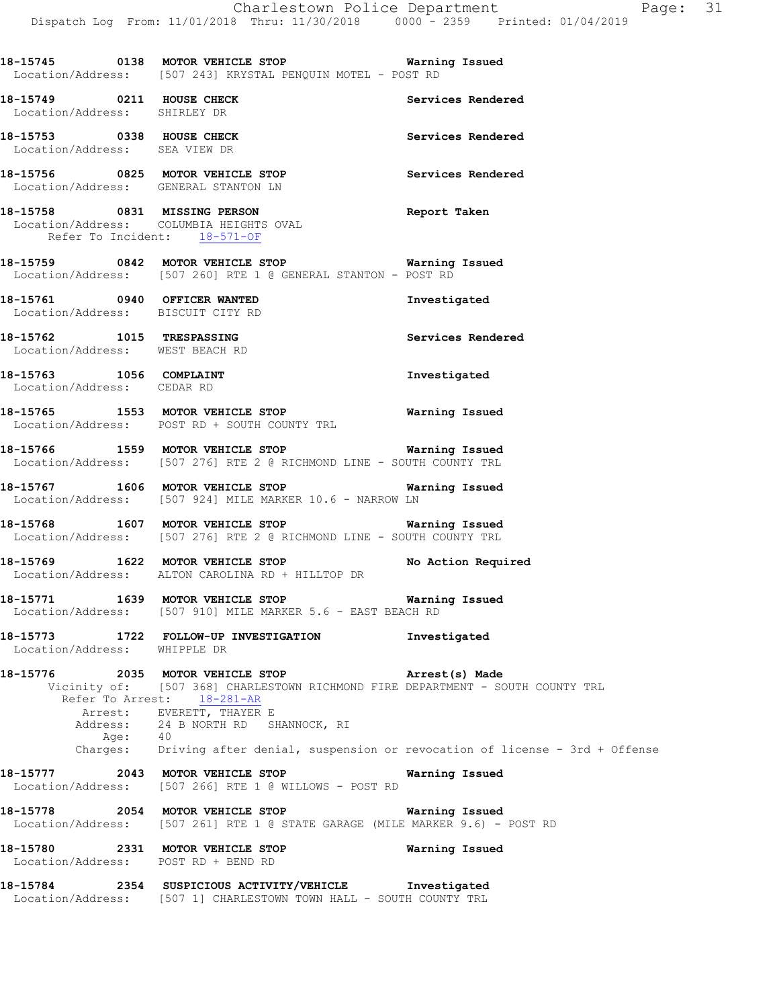**18-15745 0138 MOTOR VEHICLE STOP Warning Issued**  Location/Address: [507 243] KRYSTAL PENQUIN MOTEL - POST RD **18-15749 6211 HOUSE CHECK Services Rendered Services Rendered**  Location/Address: SHIRLEY DR **18-15753 0338 HOUSE CHECK Services Rendered**  Location/Address: SEA VIEW DR **18-15756 0825 MOTOR VEHICLE STOP Services Rendered**  Location/Address: GENERAL STANTON LN **18-15758 0831 MISSING PERSON Report Taken**  Location/Address: COLUMBIA HEIGHTS OVAL Refer To Incident: 18-571-OF **18-15759 0842 MOTOR VEHICLE STOP Warning Issued**  Location/Address: [507 260] RTE 1 @ GENERAL STANTON - POST RD **18-15761 0940 OFFICER WANTED Investigated**  Location/Address: BISCUIT CITY RD **18-15762 1015 TRESPASSING Services Rendered**  Location/Address: WEST BEACH RD **18-15763 1056 COMPLAINT Investigated**  Location/Address: CEDAR RD **18-15765 1553 MOTOR VEHICLE STOP Warning Issued**  Location/Address: POST RD + SOUTH COUNTY TRL **18-15766 1559 MOTOR VEHICLE STOP Warning Issued**  Location/Address: [507 276] RTE 2 @ RICHMOND LINE - SOUTH COUNTY TRL **18-15767 1606 MOTOR VEHICLE STOP Warning Issued**  Location/Address: [507 924] MILE MARKER 10.6 - NARROW LN **18-15768 1607 MOTOR VEHICLE STOP Warning Issued**  Location/Address: [507 276] RTE 2 @ RICHMOND LINE - SOUTH COUNTY TRL **18-15769 1622 MOTOR VEHICLE STOP No Action Required**  Location/Address: ALTON CAROLINA RD + HILLTOP DR **18-15771 1639 MOTOR VEHICLE STOP Warning Issued**  Location/Address: [507 910] MILE MARKER 5.6 - EAST BEACH RD **18-15773 1722 FOLLOW-UP INVESTIGATION Investigated**  Location/Address: WHIPPLE DR **18-15776 2035 MOTOR VEHICLE STOP Arrest(s) Made**  Vicinity of: [507 368] CHARLESTOWN RICHMOND FIRE DEPARTMENT - SOUTH COUNTY TRL Refer To Arrest: 18-281-AR Arrest: EVERETT, THAYER E Address: 24 B NORTH RD SHANNOCK, RI Age: 40 Charges: Driving after denial, suspension or revocation of license - 3rd + Offense **18-15777 2043 MOTOR VEHICLE STOP Warning Issued**  Location/Address: [507 266] RTE 1 @ WILLOWS - POST RD **18-15778 2054 MOTOR VEHICLE STOP Warning Issued**  Location/Address: [507 261] RTE 1 @ STATE GARAGE (MILE MARKER 9.6) - POST RD **18-15780 2331 MOTOR VEHICLE STOP Warning Issued**  Location/Address: POST RD + BEND RD

**18-15784 2354 SUSPICIOUS ACTIVITY/VEHICLE Investigated**  Location/Address: [507 1] CHARLESTOWN TOWN HALL - SOUTH COUNTY TRL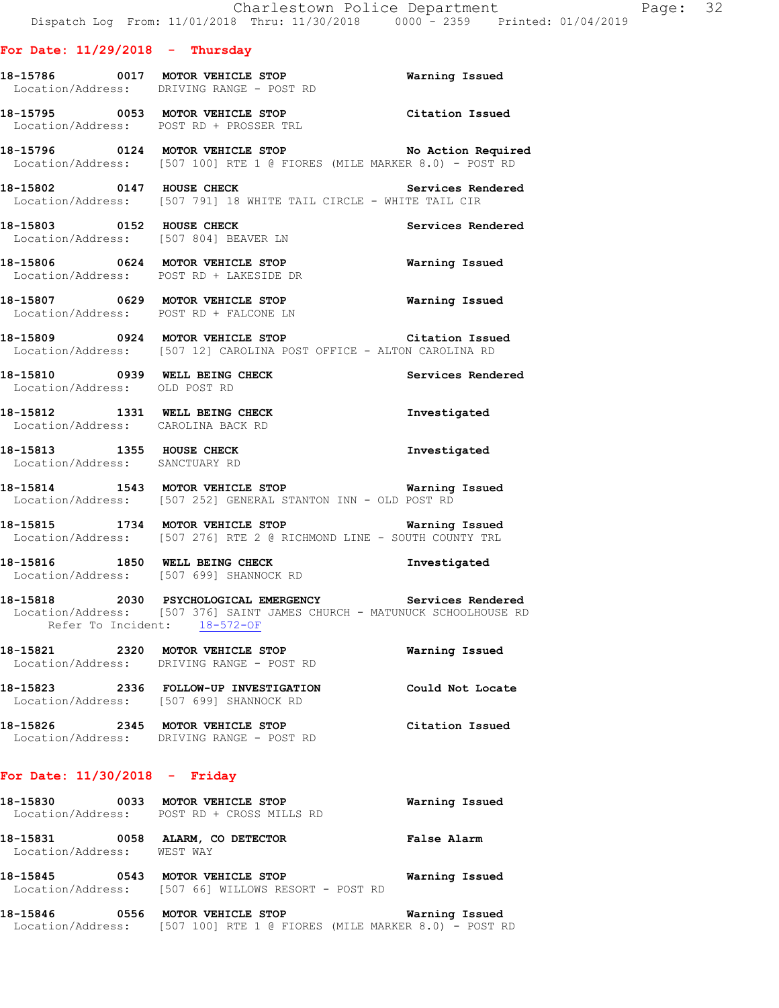#### **For Date: 11/29/2018 - Thursday**

- **18-15786 0017 MOTOR VEHICLE STOP Warning Issued**  Location/Address: DRIVING RANGE - POST RD
- **18-15795 0053 MOTOR VEHICLE STOP Citation Issued**  Location/Address: POST RD + PROSSER TRL
- **18-15796 0124 MOTOR VEHICLE STOP No Action Required**  Location/Address: [507 100] RTE 1 @ FIORES (MILE MARKER 8.0) - POST RD
- 18-15802 0147 HOUSE CHECK Services Rendered Location/Address: [507 791] 18 WHITE TAIL CIRCLE - WHITE TAIL CIR
- **18-15803 0152 HOUSE CHECK Services Rendered**  Location/Address: [507 804] BEAVER LN
- **18-15806 0624 MOTOR VEHICLE STOP Warning Issued**  Location/Address: POST RD + LAKESIDE DR
- **18-15807 0629 MOTOR VEHICLE STOP Warning Issued**  Location/Address: POST RD + FALCONE LN
- **18-15809 0924 MOTOR VEHICLE STOP Citation Issued**  Location/Address: [507 12] CAROLINA POST OFFICE - ALTON CAROLINA RD
- **18-15810 0939 WELL BEING CHECK Services Rendered**  Location/Address: OLD POST RD
- **18-15812 1331 WELL BEING CHECK Investigated**  Location/Address: CAROLINA BACK RD
- **18-15813 1355 HOUSE CHECK Investigated**  Location/Address: SANCTUARY RD
- **18-15814 1543 MOTOR VEHICLE STOP Warning Issued**  Location/Address: [507 252] GENERAL STANTON INN - OLD POST RD
- **18-15815 1734 MOTOR VEHICLE STOP Warning Issued**  Location/Address: [507 276] RTE 2 @ RICHMOND LINE - SOUTH COUNTY TRL
- **18-15816 1850 WELL BEING CHECK Investigated**  Location/Address: [507 699] SHANNOCK RD
- **18-15818 2030 PSYCHOLOGICAL EMERGENCY Services Rendered**  Location/Address: [507 376] SAINT JAMES CHURCH - MATUNUCK SCHOOLHOUSE RD Refer To Incident: 18-572-OF
- **18-15821 2320 MOTOR VEHICLE STOP Warning Issued**  Location/Address: DRIVING RANGE - POST RD **18-15823 2336 FOLLOW-UP INVESTIGATION Could Not Locate**  Location/Address: [507 699] SHANNOCK RD
- **18-15826 2345 MOTOR VEHICLE STOP Citation Issued**  Location/Address: DRIVING RANGE - POST RD

#### **For Date: 11/30/2018 - Friday**

| 18-15830                      | 0033 | <b>MOTOR VEHICLE STOP</b><br>Location/Address: POST RD + CROSS MILLS RD          | Warning Issued     |
|-------------------------------|------|----------------------------------------------------------------------------------|--------------------|
| 18-15831<br>Location/Address: | 0058 | ALARM, CO DETECTOR<br>WEST WAY                                                   | <b>False Alarm</b> |
| 18-15845                      | 0543 | <b>MOTOR VEHICLE STOP</b><br>Location/Address: [507 66] WILLOWS RESORT - POST RD | Warning Issued     |

**18-15846 0556 MOTOR VEHICLE STOP Warning Issued**  Location/Address: [507 100] RTE 1 @ FIORES (MILE MARKER 8.0) - POST RD